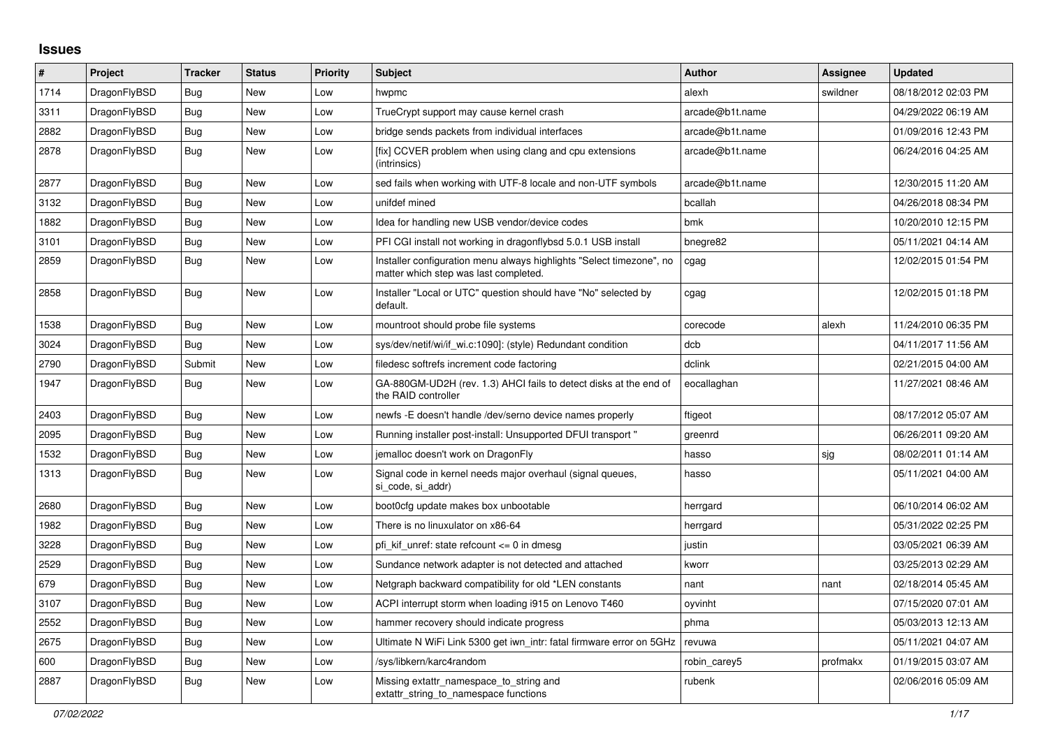## **Issues**

| $\vert$ # | <b>Project</b> | <b>Tracker</b> | <b>Status</b> | <b>Priority</b> | <b>Subject</b>                                                                                                | <b>Author</b>   | <b>Assignee</b> | <b>Updated</b>      |
|-----------|----------------|----------------|---------------|-----------------|---------------------------------------------------------------------------------------------------------------|-----------------|-----------------|---------------------|
| 1714      | DragonFlyBSD   | <b>Bug</b>     | <b>New</b>    | Low             | hwpmc                                                                                                         | alexh           | swildner        | 08/18/2012 02:03 PM |
| 3311      | DragonFlyBSD   | Bug            | <b>New</b>    | Low             | TrueCrypt support may cause kernel crash                                                                      | arcade@b1t.name |                 | 04/29/2022 06:19 AM |
| 2882      | DragonFlyBSD   | Bug            | New           | Low             | bridge sends packets from individual interfaces                                                               | arcade@b1t.name |                 | 01/09/2016 12:43 PM |
| 2878      | DragonFlyBSD   | <b>Bug</b>     | New           | Low             | [fix] CCVER problem when using clang and cpu extensions<br>(intrinsics)                                       | arcade@b1t.name |                 | 06/24/2016 04:25 AM |
| 2877      | DragonFlyBSD   | <b>Bug</b>     | <b>New</b>    | Low             | sed fails when working with UTF-8 locale and non-UTF symbols                                                  | arcade@b1t.name |                 | 12/30/2015 11:20 AM |
| 3132      | DragonFlyBSD   | Bug            | New           | Low             | unifdef mined                                                                                                 | bcallah         |                 | 04/26/2018 08:34 PM |
| 1882      | DragonFlyBSD   | <b>Bug</b>     | <b>New</b>    | Low             | Idea for handling new USB vendor/device codes                                                                 | bmk             |                 | 10/20/2010 12:15 PM |
| 3101      | DragonFlyBSD   | Bug            | New           | Low             | PFI CGI install not working in dragonflybsd 5.0.1 USB install                                                 | bnegre82        |                 | 05/11/2021 04:14 AM |
| 2859      | DragonFlyBSD   | Bug            | New           | Low             | Installer configuration menu always highlights "Select timezone", no<br>matter which step was last completed. | cgag            |                 | 12/02/2015 01:54 PM |
| 2858      | DragonFlyBSD   | <b>Bug</b>     | <b>New</b>    | Low             | Installer "Local or UTC" question should have "No" selected by<br>default.                                    | cgag            |                 | 12/02/2015 01:18 PM |
| 1538      | DragonFlyBSD   | Bug            | <b>New</b>    | Low             | mountroot should probe file systems                                                                           | corecode        | alexh           | 11/24/2010 06:35 PM |
| 3024      | DragonFlyBSD   | Bug            | New           | Low             | sys/dev/netif/wi/if wi.c:1090]: (style) Redundant condition                                                   | dcb             |                 | 04/11/2017 11:56 AM |
| 2790      | DragonFlyBSD   | Submit         | <b>New</b>    | Low             | filedesc softrefs increment code factoring                                                                    | dclink          |                 | 02/21/2015 04:00 AM |
| 1947      | DragonFlyBSD   | Bug            | <b>New</b>    | Low             | GA-880GM-UD2H (rev. 1.3) AHCI fails to detect disks at the end of<br>the RAID controller                      | eocallaghan     |                 | 11/27/2021 08:46 AM |
| 2403      | DragonFlyBSD   | Bug            | <b>New</b>    | Low             | newfs - E doesn't handle / dev/serno device names properly                                                    | ftigeot         |                 | 08/17/2012 05:07 AM |
| 2095      | DragonFlyBSD   | Bug            | <b>New</b>    | Low             | Running installer post-install: Unsupported DFUI transport "                                                  | greenrd         |                 | 06/26/2011 09:20 AM |
| 1532      | DragonFlyBSD   | <b>Bug</b>     | <b>New</b>    | Low             | jemalloc doesn't work on DragonFly                                                                            | hasso           | sjg             | 08/02/2011 01:14 AM |
| 1313      | DragonFlyBSD   | <b>Bug</b>     | New           | Low             | Signal code in kernel needs major overhaul (signal queues,<br>si code, si addr)                               | hasso           |                 | 05/11/2021 04:00 AM |
| 2680      | DragonFlyBSD   | Bug            | New           | Low             | boot0cfg update makes box unbootable                                                                          | herrgard        |                 | 06/10/2014 06:02 AM |
| 1982      | DragonFlyBSD   | Bug            | New           | Low             | There is no linuxulator on x86-64                                                                             | herrgard        |                 | 05/31/2022 02:25 PM |
| 3228      | DragonFlyBSD   | <b>Bug</b>     | <b>New</b>    | Low             | pfi kif unref: state refcount $\leq$ 0 in dmesq                                                               | justin          |                 | 03/05/2021 06:39 AM |
| 2529      | DragonFlyBSD   | <b>Bug</b>     | <b>New</b>    | Low             | Sundance network adapter is not detected and attached                                                         | kworr           |                 | 03/25/2013 02:29 AM |
| 679       | DragonFlyBSD   | <b>Bug</b>     | New           | Low             | Netgraph backward compatibility for old *LEN constants                                                        | nant            | nant            | 02/18/2014 05:45 AM |
| 3107      | DragonFlyBSD   | Bug            | New           | Low             | ACPI interrupt storm when loading i915 on Lenovo T460                                                         | oyvinht         |                 | 07/15/2020 07:01 AM |
| 2552      | DragonFlyBSD   | Bug            | New           | Low             | hammer recovery should indicate progress                                                                      | phma            |                 | 05/03/2013 12:13 AM |
| 2675      | DragonFlyBSD   | Bug            | New           | Low             | Ultimate N WiFi Link 5300 get iwn intr: fatal firmware error on 5GHz                                          | revuwa          |                 | 05/11/2021 04:07 AM |
| 600       | DragonFlyBSD   | Bug            | <b>New</b>    | Low             | /sys/libkern/karc4random                                                                                      | robin carey5    | profmakx        | 01/19/2015 03:07 AM |
| 2887      | DragonFlyBSD   | Bug            | <b>New</b>    | Low             | Missing extattr_namespace_to_string and<br>extattr_string_to_namespace functions                              | rubenk          |                 | 02/06/2016 05:09 AM |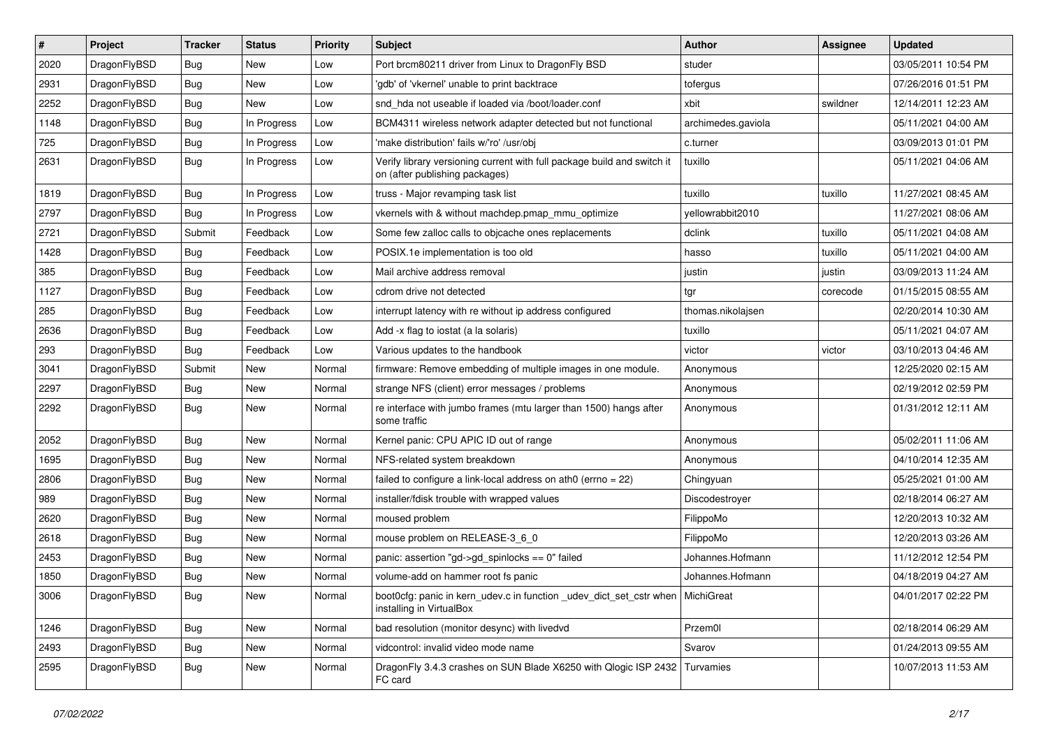| #    | Project      | <b>Tracker</b> | <b>Status</b> | <b>Priority</b> | <b>Subject</b>                                                                                            | <b>Author</b>      | Assignee | <b>Updated</b>      |
|------|--------------|----------------|---------------|-----------------|-----------------------------------------------------------------------------------------------------------|--------------------|----------|---------------------|
| 2020 | DragonFlyBSD | <b>Bug</b>     | <b>New</b>    | Low             | Port brcm80211 driver from Linux to DragonFly BSD                                                         | studer             |          | 03/05/2011 10:54 PM |
| 2931 | DragonFlyBSD | <b>Bug</b>     | <b>New</b>    | Low             | 'gdb' of 'vkernel' unable to print backtrace                                                              | tofergus           |          | 07/26/2016 01:51 PM |
| 2252 | DragonFlyBSD | <b>Bug</b>     | New           | Low             | snd hda not useable if loaded via /boot/loader.conf                                                       | xbit               | swildner | 12/14/2011 12:23 AM |
| 1148 | DragonFlyBSD | <b>Bug</b>     | In Progress   | Low             | BCM4311 wireless network adapter detected but not functional                                              | archimedes.gaviola |          | 05/11/2021 04:00 AM |
| 725  | DragonFlyBSD | <b>Bug</b>     | In Progress   | Low             | 'make distribution' fails w/'ro' /usr/obj                                                                 | c.turner           |          | 03/09/2013 01:01 PM |
| 2631 | DragonFlyBSD | <b>Bug</b>     | In Progress   | Low             | Verify library versioning current with full package build and switch it<br>on (after publishing packages) | tuxillo            |          | 05/11/2021 04:06 AM |
| 1819 | DragonFlyBSD | <b>Bug</b>     | In Progress   | Low             | truss - Major revamping task list                                                                         | tuxillo            | tuxillo  | 11/27/2021 08:45 AM |
| 2797 | DragonFlyBSD | <b>Bug</b>     | In Progress   | Low             | vkernels with & without machdep.pmap_mmu_optimize                                                         | yellowrabbit2010   |          | 11/27/2021 08:06 AM |
| 2721 | DragonFlyBSD | Submit         | Feedback      | Low             | Some few zalloc calls to objcache ones replacements                                                       | dclink             | tuxillo  | 05/11/2021 04:08 AM |
| 1428 | DragonFlyBSD | <b>Bug</b>     | Feedback      | Low             | POSIX.1e implementation is too old                                                                        | hasso              | tuxillo  | 05/11/2021 04:00 AM |
| 385  | DragonFlyBSD | <b>Bug</b>     | Feedback      | Low             | Mail archive address removal                                                                              | justin             | justin   | 03/09/2013 11:24 AM |
| 1127 | DragonFlyBSD | <b>Bug</b>     | Feedback      | Low             | cdrom drive not detected                                                                                  | tgr                | corecode | 01/15/2015 08:55 AM |
| 285  | DragonFlyBSD | <b>Bug</b>     | Feedback      | Low             | interrupt latency with re without ip address configured                                                   | thomas.nikolajsen  |          | 02/20/2014 10:30 AM |
| 2636 | DragonFlyBSD | <b>Bug</b>     | Feedback      | Low             | Add -x flag to iostat (a la solaris)                                                                      | tuxillo            |          | 05/11/2021 04:07 AM |
| 293  | DragonFlyBSD | <b>Bug</b>     | Feedback      | Low             | Various updates to the handbook                                                                           | victor             | victor   | 03/10/2013 04:46 AM |
| 3041 | DragonFlyBSD | Submit         | <b>New</b>    | Normal          | firmware: Remove embedding of multiple images in one module.                                              | Anonymous          |          | 12/25/2020 02:15 AM |
| 2297 | DragonFlyBSD | Bug            | New           | Normal          | strange NFS (client) error messages / problems                                                            | Anonymous          |          | 02/19/2012 02:59 PM |
| 2292 | DragonFlyBSD | <b>Bug</b>     | New           | Normal          | re interface with jumbo frames (mtu larger than 1500) hangs after<br>some traffic                         | Anonymous          |          | 01/31/2012 12:11 AM |
| 2052 | DragonFlyBSD | Bug            | New           | Normal          | Kernel panic: CPU APIC ID out of range                                                                    | Anonymous          |          | 05/02/2011 11:06 AM |
| 1695 | DragonFlyBSD | <b>Bug</b>     | New           | Normal          | NFS-related system breakdown                                                                              | Anonymous          |          | 04/10/2014 12:35 AM |
| 2806 | DragonFlyBSD | Bug            | New           | Normal          | failed to configure a link-local address on ath0 (errno = 22)                                             | Chingyuan          |          | 05/25/2021 01:00 AM |
| 989  | DragonFlyBSD | <b>Bug</b>     | New           | Normal          | installer/fdisk trouble with wrapped values                                                               | Discodestroyer     |          | 02/18/2014 06:27 AM |
| 2620 | DragonFlyBSD | <b>Bug</b>     | New           | Normal          | moused problem                                                                                            | FilippoMo          |          | 12/20/2013 10:32 AM |
| 2618 | DragonFlyBSD | <b>Bug</b>     | New           | Normal          | mouse problem on RELEASE-3_6_0                                                                            | FilippoMo          |          | 12/20/2013 03:26 AM |
| 2453 | DragonFlyBSD | <b>Bug</b>     | New           | Normal          | panic: assertion "gd->gd_spinlocks == 0" failed                                                           | Johannes.Hofmann   |          | 11/12/2012 12:54 PM |
| 1850 | DragonFlyBSD | <b>Bug</b>     | New           | Normal          | volume-add on hammer root fs panic                                                                        | Johannes.Hofmann   |          | 04/18/2019 04:27 AM |
| 3006 | DragonFlyBSD | Bug            | New           | Normal          | boot0cfg: panic in kern udev.c in function udev dict set cstr when MichiGreat<br>installing in VirtualBox |                    |          | 04/01/2017 02:22 PM |
| 1246 | DragonFlyBSD | <b>Bug</b>     | New           | Normal          | bad resolution (monitor desync) with livedvd                                                              | Przem0l            |          | 02/18/2014 06:29 AM |
| 2493 | DragonFlyBSD | <b>Bug</b>     | New           | Normal          | vidcontrol: invalid video mode name                                                                       | Svarov             |          | 01/24/2013 09:55 AM |
| 2595 | DragonFlyBSD | Bug            | New           | Normal          | DragonFly 3.4.3 crashes on SUN Blade X6250 with Qlogic ISP 2432 Turvamies<br>FC card                      |                    |          | 10/07/2013 11:53 AM |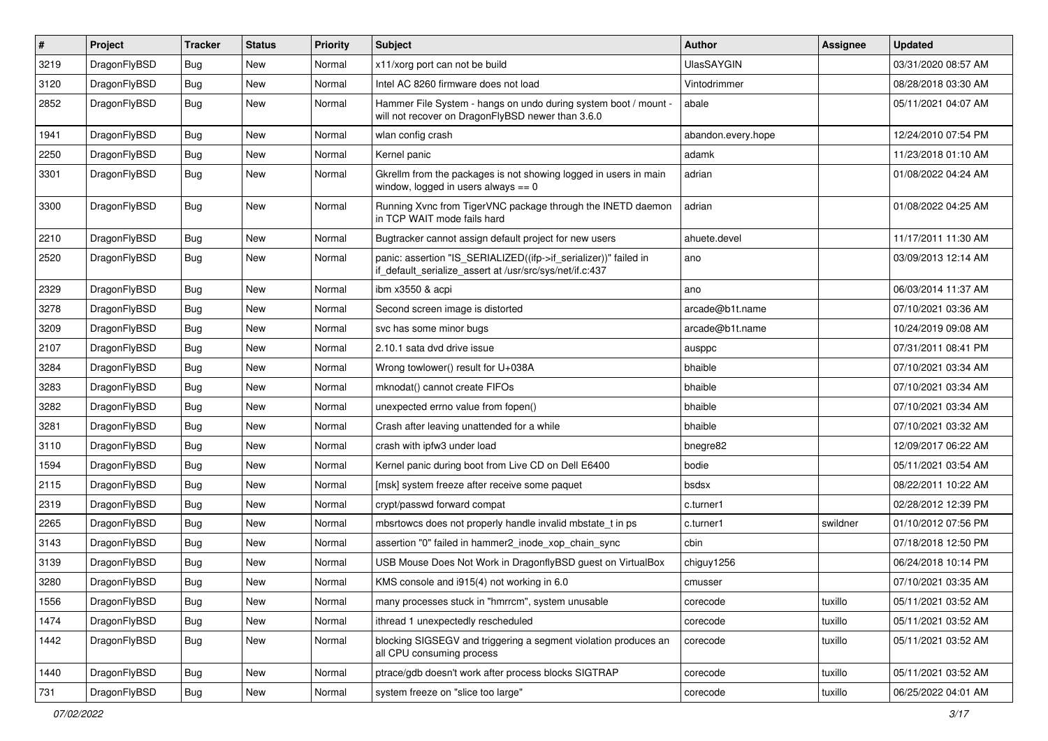| $\sharp$ | Project      | <b>Tracker</b> | <b>Status</b> | <b>Priority</b> | Subject                                                                                                                      | Author             | Assignee | <b>Updated</b>      |
|----------|--------------|----------------|---------------|-----------------|------------------------------------------------------------------------------------------------------------------------------|--------------------|----------|---------------------|
| 3219     | DragonFlyBSD | <b>Bug</b>     | New           | Normal          | x11/xorg port can not be build                                                                                               | <b>UlasSAYGIN</b>  |          | 03/31/2020 08:57 AM |
| 3120     | DragonFlyBSD | Bug            | New           | Normal          | Intel AC 8260 firmware does not load                                                                                         | Vintodrimmer       |          | 08/28/2018 03:30 AM |
| 2852     | DragonFlyBSD | <b>Bug</b>     | New           | Normal          | Hammer File System - hangs on undo during system boot / mount -<br>will not recover on DragonFlyBSD newer than 3.6.0         | abale              |          | 05/11/2021 04:07 AM |
| 1941     | DragonFlyBSD | Bug            | <b>New</b>    | Normal          | wlan config crash                                                                                                            | abandon.every.hope |          | 12/24/2010 07:54 PM |
| 2250     | DragonFlyBSD | <b>Bug</b>     | New           | Normal          | Kernel panic                                                                                                                 | adamk              |          | 11/23/2018 01:10 AM |
| 3301     | DragonFlyBSD | Bug            | New           | Normal          | Gkrellm from the packages is not showing logged in users in main<br>window, logged in users always $== 0$                    | adrian             |          | 01/08/2022 04:24 AM |
| 3300     | DragonFlyBSD | Bug            | New           | Normal          | Running Xvnc from TigerVNC package through the INETD daemon<br>in TCP WAIT mode fails hard                                   | adrian             |          | 01/08/2022 04:25 AM |
| 2210     | DragonFlyBSD | Bug            | <b>New</b>    | Normal          | Bugtracker cannot assign default project for new users                                                                       | ahuete.devel       |          | 11/17/2011 11:30 AM |
| 2520     | DragonFlyBSD | Bug            | New           | Normal          | panic: assertion "IS_SERIALIZED((ifp->if_serializer))" failed in<br>if_default_serialize_assert at /usr/src/sys/net/if.c:437 | ano                |          | 03/09/2013 12:14 AM |
| 2329     | DragonFlyBSD | Bug            | New           | Normal          | ibm x3550 & acpi                                                                                                             | ano                |          | 06/03/2014 11:37 AM |
| 3278     | DragonFlyBSD | Bug            | <b>New</b>    | Normal          | Second screen image is distorted                                                                                             | arcade@b1t.name    |          | 07/10/2021 03:36 AM |
| 3209     | DragonFlyBSD | <b>Bug</b>     | New           | Normal          | svc has some minor bugs                                                                                                      | arcade@b1t.name    |          | 10/24/2019 09:08 AM |
| 2107     | DragonFlyBSD | Bug            | <b>New</b>    | Normal          | 2.10.1 sata dvd drive issue                                                                                                  | ausppc             |          | 07/31/2011 08:41 PM |
| 3284     | DragonFlyBSD | Bug            | New           | Normal          | Wrong towlower() result for U+038A                                                                                           | bhaible            |          | 07/10/2021 03:34 AM |
| 3283     | DragonFlyBSD | <b>Bug</b>     | <b>New</b>    | Normal          | mknodat() cannot create FIFOs                                                                                                | bhaible            |          | 07/10/2021 03:34 AM |
| 3282     | DragonFlyBSD | <b>Bug</b>     | New           | Normal          | unexpected errno value from fopen()                                                                                          | bhaible            |          | 07/10/2021 03:34 AM |
| 3281     | DragonFlyBSD | Bug            | <b>New</b>    | Normal          | Crash after leaving unattended for a while                                                                                   | bhaible            |          | 07/10/2021 03:32 AM |
| 3110     | DragonFlyBSD | <b>Bug</b>     | New           | Normal          | crash with ipfw3 under load                                                                                                  | bnegre82           |          | 12/09/2017 06:22 AM |
| 1594     | DragonFlyBSD | Bug            | New           | Normal          | Kernel panic during boot from Live CD on Dell E6400                                                                          | bodie              |          | 05/11/2021 03:54 AM |
| 2115     | DragonFlyBSD | <b>Bug</b>     | <b>New</b>    | Normal          | [msk] system freeze after receive some paquet                                                                                | bsdsx              |          | 08/22/2011 10:22 AM |
| 2319     | DragonFlyBSD | <b>Bug</b>     | New           | Normal          | crypt/passwd forward compat                                                                                                  | c.turner1          |          | 02/28/2012 12:39 PM |
| 2265     | DragonFlyBSD | Bug            | <b>New</b>    | Normal          | mbsrtowcs does not properly handle invalid mbstate_t in ps                                                                   | c.turner1          | swildner | 01/10/2012 07:56 PM |
| 3143     | DragonFlyBSD | <b>Bug</b>     | New           | Normal          | assertion "0" failed in hammer2 inode xop chain sync                                                                         | cbin               |          | 07/18/2018 12:50 PM |
| 3139     | DragonFlyBSD | <b>Bug</b>     | <b>New</b>    | Normal          | USB Mouse Does Not Work in DragonflyBSD guest on VirtualBox                                                                  | chiguy1256         |          | 06/24/2018 10:14 PM |
| 3280     | DragonFlyBSD | Bug            | <b>New</b>    | Normal          | KMS console and i915(4) not working in 6.0                                                                                   | cmusser            |          | 07/10/2021 03:35 AM |
| 1556     | DragonFlyBSD | <b>Bug</b>     | New           | Normal          | many processes stuck in "hmrrcm", system unusable                                                                            | corecode           | tuxillo  | 05/11/2021 03:52 AM |
| 1474     | DragonFlyBSD | <b>Bug</b>     | <b>New</b>    | Normal          | ithread 1 unexpectedly rescheduled                                                                                           | corecode           | tuxillo  | 05/11/2021 03:52 AM |
| 1442     | DragonFlyBSD | <b>Bug</b>     | New           | Normal          | blocking SIGSEGV and triggering a segment violation produces an<br>all CPU consuming process                                 | corecode           | tuxillo  | 05/11/2021 03:52 AM |
| 1440     | DragonFlyBSD | Bug            | <b>New</b>    | Normal          | ptrace/gdb doesn't work after process blocks SIGTRAP                                                                         | corecode           | tuxillo  | 05/11/2021 03:52 AM |
| 731      | DragonFlyBSD | Bug            | New           | Normal          | system freeze on "slice too large"                                                                                           | corecode           | tuxillo  | 06/25/2022 04:01 AM |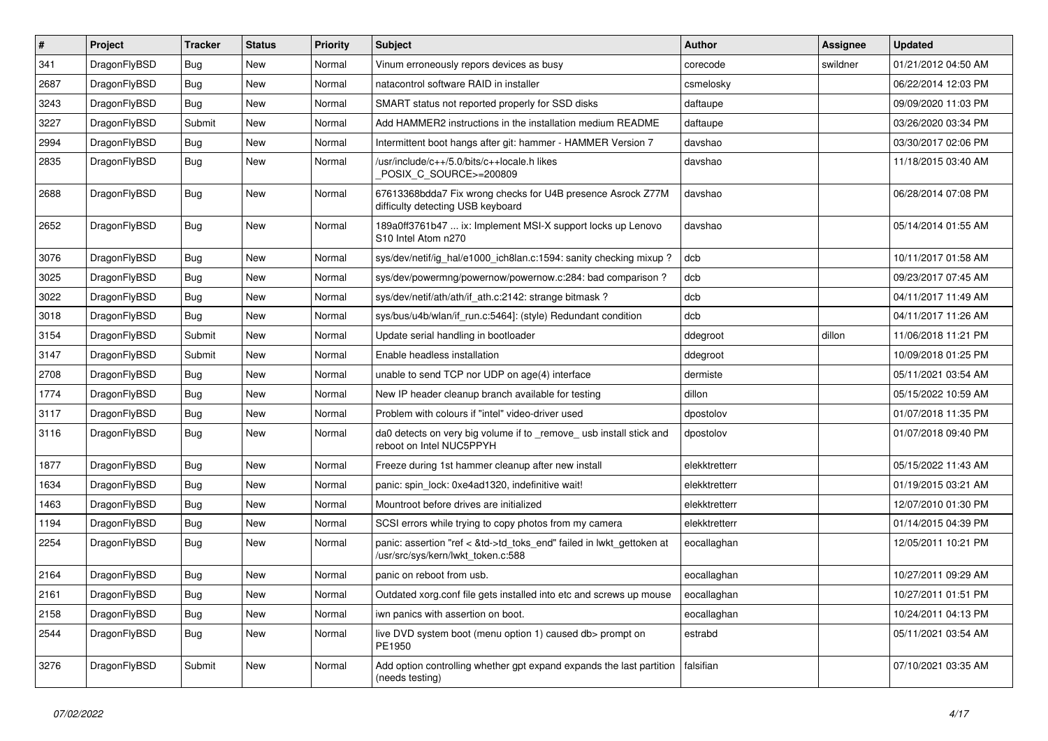| #    | Project      | <b>Tracker</b> | <b>Status</b> | <b>Priority</b> | <b>Subject</b>                                                                                             | Author        | <b>Assignee</b> | <b>Updated</b>      |
|------|--------------|----------------|---------------|-----------------|------------------------------------------------------------------------------------------------------------|---------------|-----------------|---------------------|
| 341  | DragonFlyBSD | <b>Bug</b>     | <b>New</b>    | Normal          | Vinum erroneously repors devices as busy                                                                   | corecode      | swildner        | 01/21/2012 04:50 AM |
| 2687 | DragonFlyBSD | Bug            | <b>New</b>    | Normal          | natacontrol software RAID in installer                                                                     | csmelosky     |                 | 06/22/2014 12:03 PM |
| 3243 | DragonFlyBSD | <b>Bug</b>     | <b>New</b>    | Normal          | SMART status not reported properly for SSD disks                                                           | daftaupe      |                 | 09/09/2020 11:03 PM |
| 3227 | DragonFlyBSD | Submit         | <b>New</b>    | Normal          | Add HAMMER2 instructions in the installation medium README                                                 | daftaupe      |                 | 03/26/2020 03:34 PM |
| 2994 | DragonFlyBSD | <b>Bug</b>     | <b>New</b>    | Normal          | Intermittent boot hangs after git: hammer - HAMMER Version 7                                               | davshao       |                 | 03/30/2017 02:06 PM |
| 2835 | DragonFlyBSD | Bug            | New           | Normal          | /usr/include/c++/5.0/bits/c++locale.h likes<br>POSIX_C_SOURCE>=200809                                      | davshao       |                 | 11/18/2015 03:40 AM |
| 2688 | DragonFlyBSD | <b>Bug</b>     | New           | Normal          | 67613368bdda7 Fix wrong checks for U4B presence Asrock Z77M<br>difficulty detecting USB keyboard           | davshao       |                 | 06/28/2014 07:08 PM |
| 2652 | DragonFlyBSD | <b>Bug</b>     | <b>New</b>    | Normal          | 189a0ff3761b47  ix: Implement MSI-X support locks up Lenovo<br>S <sub>10</sub> Intel Atom n <sub>270</sub> | davshao       |                 | 05/14/2014 01:55 AM |
| 3076 | DragonFlyBSD | Bug            | <b>New</b>    | Normal          | sys/dev/netif/ig_hal/e1000_ich8lan.c:1594: sanity checking mixup?                                          | dcb           |                 | 10/11/2017 01:58 AM |
| 3025 | DragonFlyBSD | <b>Bug</b>     | <b>New</b>    | Normal          | sys/dev/powermng/powernow/powernow.c:284: bad comparison?                                                  | dcb           |                 | 09/23/2017 07:45 AM |
| 3022 | DragonFlyBSD | <b>Bug</b>     | <b>New</b>    | Normal          | sys/dev/netif/ath/ath/if ath.c:2142: strange bitmask?                                                      | dcb           |                 | 04/11/2017 11:49 AM |
| 3018 | DragonFlyBSD | Bug            | <b>New</b>    | Normal          | sys/bus/u4b/wlan/if_run.c:5464]: (style) Redundant condition                                               | dcb           |                 | 04/11/2017 11:26 AM |
| 3154 | DragonFlyBSD | Submit         | New           | Normal          | Update serial handling in bootloader                                                                       | ddegroot      | dillon          | 11/06/2018 11:21 PM |
| 3147 | DragonFlyBSD | Submit         | <b>New</b>    | Normal          | Enable headless installation                                                                               | ddegroot      |                 | 10/09/2018 01:25 PM |
| 2708 | DragonFlyBSD | <b>Bug</b>     | <b>New</b>    | Normal          | unable to send TCP nor UDP on age(4) interface                                                             | dermiste      |                 | 05/11/2021 03:54 AM |
| 1774 | DragonFlyBSD | <b>Bug</b>     | <b>New</b>    | Normal          | New IP header cleanup branch available for testing                                                         | dillon        |                 | 05/15/2022 10:59 AM |
| 3117 | DragonFlyBSD | Bug            | New           | Normal          | Problem with colours if "intel" video-driver used                                                          | dpostolov     |                 | 01/07/2018 11:35 PM |
| 3116 | DragonFlyBSD | <b>Bug</b>     | New           | Normal          | da0 detects on very big volume if to _remove_ usb install stick and<br>reboot on Intel NUC5PPYH            | dpostolov     |                 | 01/07/2018 09:40 PM |
| 1877 | DragonFlyBSD | Bug            | <b>New</b>    | Normal          | Freeze during 1st hammer cleanup after new install                                                         | elekktretterr |                 | 05/15/2022 11:43 AM |
| 1634 | DragonFlyBSD | <b>Bug</b>     | <b>New</b>    | Normal          | panic: spin lock: 0xe4ad1320, indefinitive wait!                                                           | elekktretterr |                 | 01/19/2015 03:21 AM |
| 1463 | DragonFlyBSD | Bug            | <b>New</b>    | Normal          | Mountroot before drives are initialized                                                                    | elekktretterr |                 | 12/07/2010 01:30 PM |
| 1194 | DragonFlyBSD | <b>Bug</b>     | <b>New</b>    | Normal          | SCSI errors while trying to copy photos from my camera                                                     | elekktretterr |                 | 01/14/2015 04:39 PM |
| 2254 | DragonFlyBSD | Bug            | New           | Normal          | panic: assertion "ref < &td->td_toks_end" failed in lwkt_gettoken at<br>/usr/src/sys/kern/lwkt_token.c:588 | eocallaghan   |                 | 12/05/2011 10:21 PM |
| 2164 | DragonFlyBSD | <b>Bug</b>     | <b>New</b>    | Normal          | panic on reboot from usb.                                                                                  | eocallaghan   |                 | 10/27/2011 09:29 AM |
| 2161 | DragonFlyBSD | <b>Bug</b>     | New           | Normal          | Outdated xorg.conf file gets installed into etc and screws up mouse                                        | eocallaghan   |                 | 10/27/2011 01:51 PM |
| 2158 | DragonFlyBSD | Bug            | New           | Normal          | iwn panics with assertion on boot.                                                                         | eocallaghan   |                 | 10/24/2011 04:13 PM |
| 2544 | DragonFlyBSD | <b>Bug</b>     | New           | Normal          | live DVD system boot (menu option 1) caused db> prompt on<br>PE1950                                        | estrabd       |                 | 05/11/2021 03:54 AM |
| 3276 | DragonFlyBSD | Submit         | New           | Normal          | Add option controlling whether gpt expand expands the last partition<br>(needs testing)                    | falsifian     |                 | 07/10/2021 03:35 AM |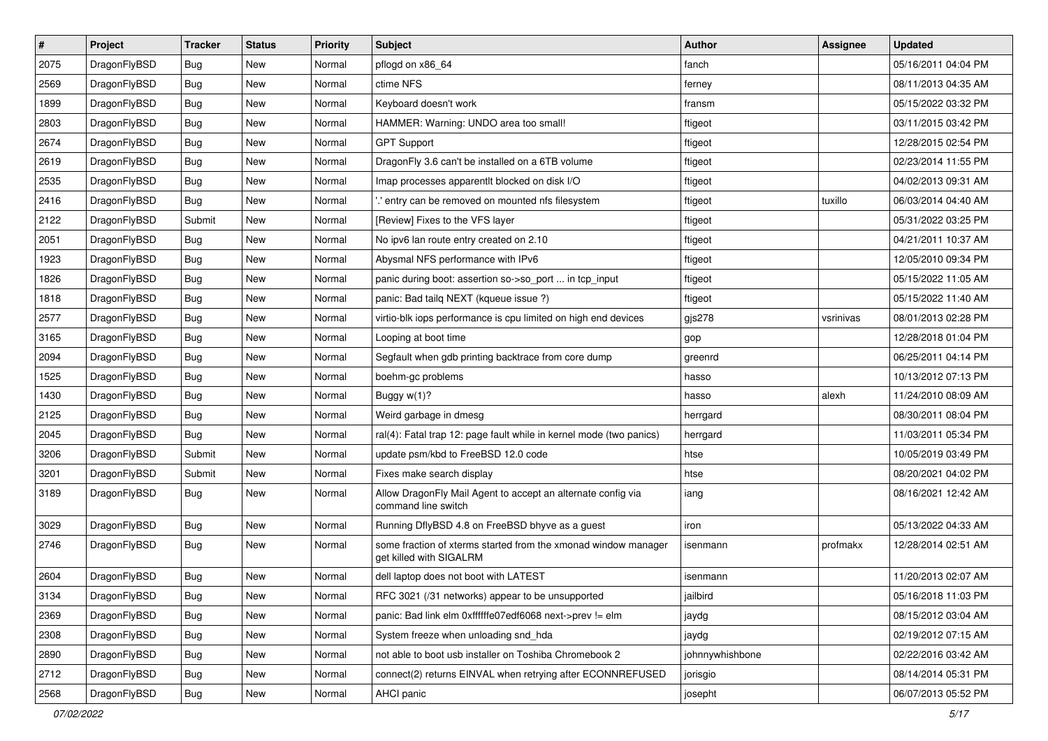| $\vert$ # | Project      | <b>Tracker</b> | <b>Status</b> | <b>Priority</b> | Subject                                                                                   | <b>Author</b>   | Assignee  | <b>Updated</b>      |
|-----------|--------------|----------------|---------------|-----------------|-------------------------------------------------------------------------------------------|-----------------|-----------|---------------------|
| 2075      | DragonFlyBSD | Bug            | New           | Normal          | pflogd on x86_64                                                                          | fanch           |           | 05/16/2011 04:04 PM |
| 2569      | DragonFlyBSD | Bug            | <b>New</b>    | Normal          | ctime NFS                                                                                 | ferney          |           | 08/11/2013 04:35 AM |
| 1899      | DragonFlyBSD | <b>Bug</b>     | <b>New</b>    | Normal          | Keyboard doesn't work                                                                     | fransm          |           | 05/15/2022 03:32 PM |
| 2803      | DragonFlyBSD | <b>Bug</b>     | New           | Normal          | HAMMER: Warning: UNDO area too small!                                                     | ftigeot         |           | 03/11/2015 03:42 PM |
| 2674      | DragonFlyBSD | Bug            | <b>New</b>    | Normal          | <b>GPT Support</b>                                                                        | ftigeot         |           | 12/28/2015 02:54 PM |
| 2619      | DragonFlyBSD | <b>Bug</b>     | New           | Normal          | DragonFly 3.6 can't be installed on a 6TB volume                                          | ftigeot         |           | 02/23/2014 11:55 PM |
| 2535      | DragonFlyBSD | Bug            | New           | Normal          | Imap processes apparentlt blocked on disk I/O                                             | ftigeot         |           | 04/02/2013 09:31 AM |
| 2416      | DragonFlyBSD | Bug            | <b>New</b>    | Normal          | ".' entry can be removed on mounted nfs filesystem                                        | ftigeot         | tuxillo   | 06/03/2014 04:40 AM |
| 2122      | DragonFlyBSD | Submit         | <b>New</b>    | Normal          | [Review] Fixes to the VFS layer                                                           | ftigeot         |           | 05/31/2022 03:25 PM |
| 2051      | DragonFlyBSD | Bug            | <b>New</b>    | Normal          | No ipv6 lan route entry created on 2.10                                                   | ftigeot         |           | 04/21/2011 10:37 AM |
| 1923      | DragonFlyBSD | Bug            | New           | Normal          | Abysmal NFS performance with IPv6                                                         | ftigeot         |           | 12/05/2010 09:34 PM |
| 1826      | DragonFlyBSD | Bug            | New           | Normal          | panic during boot: assertion so->so_port  in tcp_input                                    | ftigeot         |           | 05/15/2022 11:05 AM |
| 1818      | DragonFlyBSD | Bug            | New           | Normal          | panic: Bad tailg NEXT (kqueue issue ?)                                                    | ftigeot         |           | 05/15/2022 11:40 AM |
| 2577      | DragonFlyBSD | Bug            | <b>New</b>    | Normal          | virtio-blk iops performance is cpu limited on high end devices                            | gjs278          | vsrinivas | 08/01/2013 02:28 PM |
| 3165      | DragonFlyBSD | Bug            | <b>New</b>    | Normal          | Looping at boot time                                                                      | gop             |           | 12/28/2018 01:04 PM |
| 2094      | DragonFlyBSD | <b>Bug</b>     | <b>New</b>    | Normal          | Segfault when gdb printing backtrace from core dump                                       | greenrd         |           | 06/25/2011 04:14 PM |
| 1525      | DragonFlyBSD | <b>Bug</b>     | New           | Normal          | boehm-gc problems                                                                         | hasso           |           | 10/13/2012 07:13 PM |
| 1430      | DragonFlyBSD | Bug            | <b>New</b>    | Normal          | Buggy w(1)?                                                                               | hasso           | alexh     | 11/24/2010 08:09 AM |
| 2125      | DragonFlyBSD | Bug            | <b>New</b>    | Normal          | Weird garbage in dmesg                                                                    | herrgard        |           | 08/30/2011 08:04 PM |
| 2045      | DragonFlyBSD | Bug            | <b>New</b>    | Normal          | ral(4): Fatal trap 12: page fault while in kernel mode (two panics)                       | herrgard        |           | 11/03/2011 05:34 PM |
| 3206      | DragonFlyBSD | Submit         | New           | Normal          | update psm/kbd to FreeBSD 12.0 code                                                       | htse            |           | 10/05/2019 03:49 PM |
| 3201      | DragonFlyBSD | Submit         | New           | Normal          | Fixes make search display                                                                 | htse            |           | 08/20/2021 04:02 PM |
| 3189      | DragonFlyBSD | <b>Bug</b>     | New           | Normal          | Allow DragonFly Mail Agent to accept an alternate config via<br>command line switch       | iang            |           | 08/16/2021 12:42 AM |
| 3029      | DragonFlyBSD | Bug            | <b>New</b>    | Normal          | Running DflyBSD 4.8 on FreeBSD bhyve as a guest                                           | iron            |           | 05/13/2022 04:33 AM |
| 2746      | DragonFlyBSD | Bug            | New           | Normal          | some fraction of xterms started from the xmonad window manager<br>get killed with SIGALRM | isenmann        | profmakx  | 12/28/2014 02:51 AM |
| 2604      | DragonFlyBSD | Bug            | <b>New</b>    | Normal          | dell laptop does not boot with LATEST                                                     | isenmann        |           | 11/20/2013 02:07 AM |
| 3134      | DragonFlyBSD | Bug            | New           | Normal          | RFC 3021 (/31 networks) appear to be unsupported                                          | jailbird        |           | 05/16/2018 11:03 PM |
| 2369      | DragonFlyBSD | <b>Bug</b>     | <b>New</b>    | Normal          | panic: Bad link elm 0xffffffe07edf6068 next->prev != elm                                  | jaydg           |           | 08/15/2012 03:04 AM |
| 2308      | DragonFlyBSD | <b>Bug</b>     | New           | Normal          | System freeze when unloading snd_hda                                                      | jaydg           |           | 02/19/2012 07:15 AM |
| 2890      | DragonFlyBSD | <b>Bug</b>     | New           | Normal          | not able to boot usb installer on Toshiba Chromebook 2                                    | johnnywhishbone |           | 02/22/2016 03:42 AM |
| 2712      | DragonFlyBSD | <b>Bug</b>     | New           | Normal          | connect(2) returns EINVAL when retrying after ECONNREFUSED                                | jorisgio        |           | 08/14/2014 05:31 PM |
| 2568      | DragonFlyBSD | <b>Bug</b>     | New           | Normal          | AHCI panic                                                                                | josepht         |           | 06/07/2013 05:52 PM |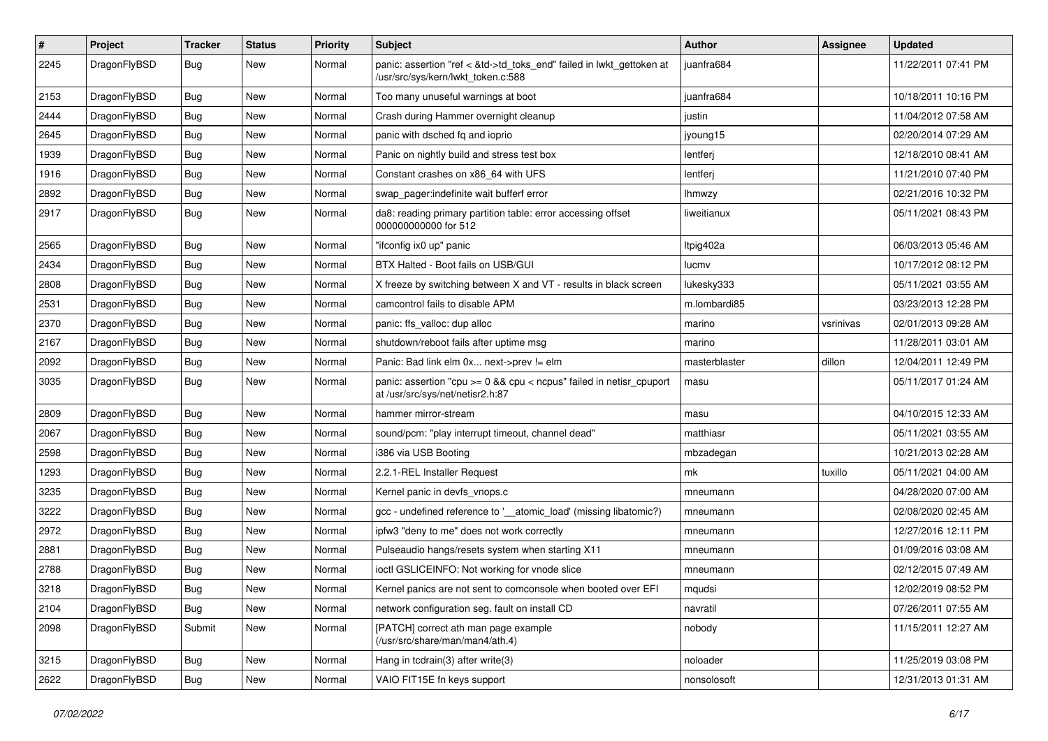| $\sharp$ | Project      | <b>Tracker</b> | <b>Status</b> | <b>Priority</b> | Subject                                                                                                    | <b>Author</b> | Assignee  | <b>Updated</b>      |
|----------|--------------|----------------|---------------|-----------------|------------------------------------------------------------------------------------------------------------|---------------|-----------|---------------------|
| 2245     | DragonFlyBSD | Bug            | New           | Normal          | panic: assertion "ref < &td->td_toks_end" failed in lwkt_gettoken at<br>/usr/src/sys/kern/lwkt_token.c:588 | juanfra684    |           | 11/22/2011 07:41 PM |
| 2153     | DragonFlyBSD | Bug            | New           | Normal          | Too many unuseful warnings at boot                                                                         | juanfra684    |           | 10/18/2011 10:16 PM |
| 2444     | DragonFlyBSD | <b>Bug</b>     | New           | Normal          | Crash during Hammer overnight cleanup                                                                      | justin        |           | 11/04/2012 07:58 AM |
| 2645     | DragonFlyBSD | Bug            | New           | Normal          | panic with dsched fq and ioprio                                                                            | jyoung15      |           | 02/20/2014 07:29 AM |
| 1939     | DragonFlyBSD | <b>Bug</b>     | New           | Normal          | Panic on nightly build and stress test box                                                                 | lentferj      |           | 12/18/2010 08:41 AM |
| 1916     | DragonFlyBSD | <b>Bug</b>     | New           | Normal          | Constant crashes on x86_64 with UFS                                                                        | lentferj      |           | 11/21/2010 07:40 PM |
| 2892     | DragonFlyBSD | <b>Bug</b>     | <b>New</b>    | Normal          | swap_pager:indefinite wait bufferf error                                                                   | <b>Ihmwzy</b> |           | 02/21/2016 10:32 PM |
| 2917     | DragonFlyBSD | <b>Bug</b>     | New           | Normal          | da8: reading primary partition table: error accessing offset<br>000000000000 for 512                       | liweitianux   |           | 05/11/2021 08:43 PM |
| 2565     | DragonFlyBSD | Bug            | <b>New</b>    | Normal          | "ifconfig ix0 up" panic                                                                                    | Itpig402a     |           | 06/03/2013 05:46 AM |
| 2434     | DragonFlyBSD | <b>Bug</b>     | <b>New</b>    | Normal          | BTX Halted - Boot fails on USB/GUI                                                                         | lucmv         |           | 10/17/2012 08:12 PM |
| 2808     | DragonFlyBSD | <b>Bug</b>     | New           | Normal          | X freeze by switching between X and VT - results in black screen                                           | lukesky333    |           | 05/11/2021 03:55 AM |
| 2531     | DragonFlyBSD | <b>Bug</b>     | New           | Normal          | camcontrol fails to disable APM                                                                            | m.lombardi85  |           | 03/23/2013 12:28 PM |
| 2370     | DragonFlyBSD | <b>Bug</b>     | New           | Normal          | panic: ffs_valloc: dup alloc                                                                               | marino        | vsrinivas | 02/01/2013 09:28 AM |
| 2167     | DragonFlyBSD | <b>Bug</b>     | <b>New</b>    | Normal          | shutdown/reboot fails after uptime msg                                                                     | marino        |           | 11/28/2011 03:01 AM |
| 2092     | DragonFlyBSD | <b>Bug</b>     | New           | Normal          | Panic: Bad link elm 0x next->prev != elm                                                                   | masterblaster | dillon    | 12/04/2011 12:49 PM |
| 3035     | DragonFlyBSD | Bug            | New           | Normal          | panic: assertion "cpu >= 0 && cpu < ncpus" failed in netisr_cpuport<br>at /usr/src/sys/net/netisr2.h:87    | masu          |           | 05/11/2017 01:24 AM |
| 2809     | DragonFlyBSD | Bug            | <b>New</b>    | Normal          | hammer mirror-stream                                                                                       | masu          |           | 04/10/2015 12:33 AM |
| 2067     | DragonFlyBSD | <b>Bug</b>     | New           | Normal          | sound/pcm: "play interrupt timeout, channel dead"                                                          | matthiasr     |           | 05/11/2021 03:55 AM |
| 2598     | DragonFlyBSD | <b>Bug</b>     | <b>New</b>    | Normal          | i386 via USB Booting                                                                                       | mbzadegan     |           | 10/21/2013 02:28 AM |
| 1293     | DragonFlyBSD | Bug            | <b>New</b>    | Normal          | 2.2.1-REL Installer Request                                                                                | mk            | tuxillo   | 05/11/2021 04:00 AM |
| 3235     | DragonFlyBSD | Bug            | <b>New</b>    | Normal          | Kernel panic in devfs_vnops.c                                                                              | mneumann      |           | 04/28/2020 07:00 AM |
| 3222     | DragonFlyBSD | <b>Bug</b>     | New           | Normal          | gcc - undefined reference to '__atomic_load' (missing libatomic?)                                          | mneumann      |           | 02/08/2020 02:45 AM |
| 2972     | DragonFlyBSD | Bug            | <b>New</b>    | Normal          | ipfw3 "deny to me" does not work correctly                                                                 | mneumann      |           | 12/27/2016 12:11 PM |
| 2881     | DragonFlyBSD | <b>Bug</b>     | <b>New</b>    | Normal          | Pulseaudio hangs/resets system when starting X11                                                           | mneumann      |           | 01/09/2016 03:08 AM |
| 2788     | DragonFlyBSD | Bug            | New           | Normal          | ioctl GSLICEINFO: Not working for vnode slice                                                              | mneumann      |           | 02/12/2015 07:49 AM |
| 3218     | DragonFlyBSD | Bug            | <b>New</b>    | Normal          | Kernel panics are not sent to comconsole when booted over EFI                                              | mqudsi        |           | 12/02/2019 08:52 PM |
| 2104     | DragonFlyBSD | <b>Bug</b>     | <b>New</b>    | Normal          | network configuration seg. fault on install CD                                                             | navratil      |           | 07/26/2011 07:55 AM |
| 2098     | DragonFlyBSD | Submit         | <b>New</b>    | Normal          | [PATCH] correct ath man page example<br>(/usr/src/share/man/man4/ath.4)                                    | nobody        |           | 11/15/2011 12:27 AM |
| 3215     | DragonFlyBSD | <b>Bug</b>     | New           | Normal          | Hang in tcdrain(3) after write(3)                                                                          | noloader      |           | 11/25/2019 03:08 PM |
| 2622     | DragonFlyBSD | <b>Bug</b>     | New           | Normal          | VAIO FIT15E fn keys support                                                                                | nonsolosoft   |           | 12/31/2013 01:31 AM |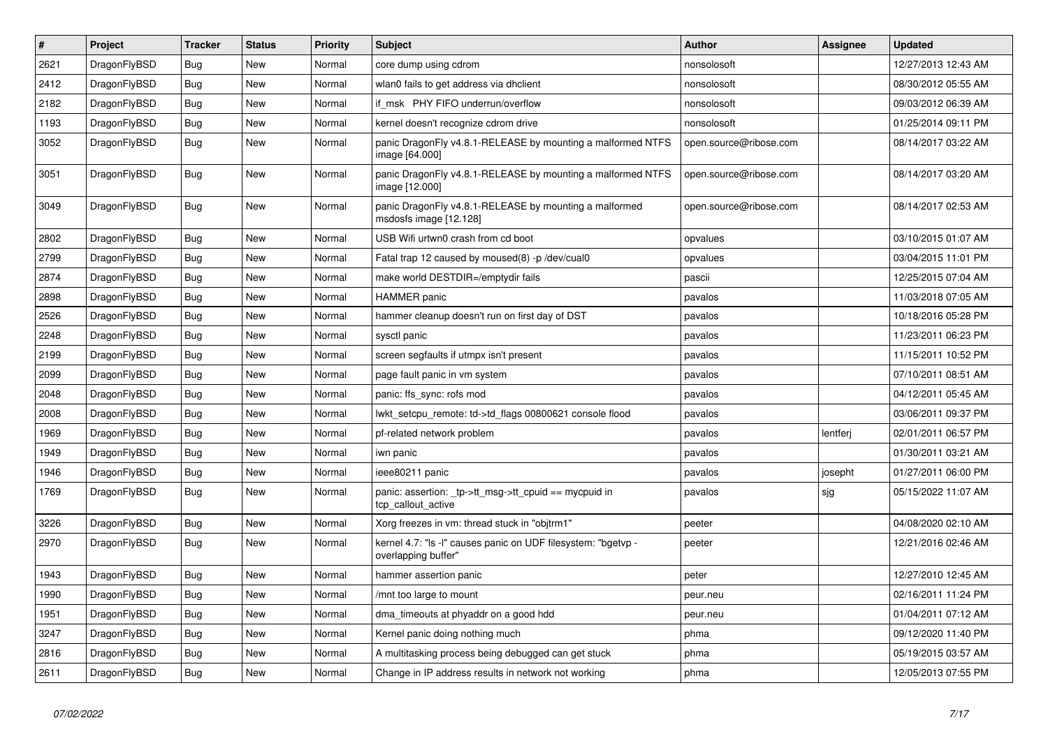| $\vert$ # | Project      | <b>Tracker</b> | <b>Status</b> | <b>Priority</b> | <b>Subject</b>                                                                       | <b>Author</b>          | Assignee | Updated             |
|-----------|--------------|----------------|---------------|-----------------|--------------------------------------------------------------------------------------|------------------------|----------|---------------------|
| 2621      | DragonFlyBSD | Bug            | <b>New</b>    | Normal          | core dump using cdrom                                                                | nonsolosoft            |          | 12/27/2013 12:43 AM |
| 2412      | DragonFlyBSD | <b>Bug</b>     | <b>New</b>    | Normal          | wlan0 fails to get address via dhclient                                              | nonsolosoft            |          | 08/30/2012 05:55 AM |
| 2182      | DragonFlyBSD | <b>Bug</b>     | <b>New</b>    | Normal          | if msk PHY FIFO underrun/overflow                                                    | nonsolosoft            |          | 09/03/2012 06:39 AM |
| 1193      | DragonFlyBSD | Bug            | <b>New</b>    | Normal          | kernel doesn't recognize cdrom drive                                                 | nonsolosoft            |          | 01/25/2014 09:11 PM |
| 3052      | DragonFlyBSD | Bug            | <b>New</b>    | Normal          | panic DragonFly v4.8.1-RELEASE by mounting a malformed NTFS<br>image [64.000]        | open.source@ribose.com |          | 08/14/2017 03:22 AM |
| 3051      | DragonFlyBSD | <b>Bug</b>     | <b>New</b>    | Normal          | panic DragonFly v4.8.1-RELEASE by mounting a malformed NTFS<br>image [12.000]        | open.source@ribose.com |          | 08/14/2017 03:20 AM |
| 3049      | DragonFlyBSD | Bug            | <b>New</b>    | Normal          | panic DragonFly v4.8.1-RELEASE by mounting a malformed<br>msdosfs image [12.128]     | open.source@ribose.com |          | 08/14/2017 02:53 AM |
| 2802      | DragonFlyBSD | Bug            | <b>New</b>    | Normal          | USB Wifi urtwn0 crash from cd boot                                                   | opvalues               |          | 03/10/2015 01:07 AM |
| 2799      | DragonFlyBSD | Bug            | <b>New</b>    | Normal          | Fatal trap 12 caused by moused(8) -p/dev/cual0                                       | opvalues               |          | 03/04/2015 11:01 PM |
| 2874      | DragonFlyBSD | <b>Bug</b>     | <b>New</b>    | Normal          | make world DESTDIR=/emptydir fails                                                   | pascii                 |          | 12/25/2015 07:04 AM |
| 2898      | DragonFlyBSD | <b>Bug</b>     | <b>New</b>    | Normal          | <b>HAMMER</b> panic                                                                  | pavalos                |          | 11/03/2018 07:05 AM |
| 2526      | DragonFlyBSD | <b>Bug</b>     | <b>New</b>    | Normal          | hammer cleanup doesn't run on first day of DST                                       | pavalos                |          | 10/18/2016 05:28 PM |
| 2248      | DragonFlyBSD | Bug            | New           | Normal          | sysctl panic                                                                         | pavalos                |          | 11/23/2011 06:23 PM |
| 2199      | DragonFlyBSD | <b>Bug</b>     | <b>New</b>    | Normal          | screen segfaults if utmpx isn't present                                              | pavalos                |          | 11/15/2011 10:52 PM |
| 2099      | DragonFlyBSD | <b>Bug</b>     | New           | Normal          | page fault panic in vm system                                                        | pavalos                |          | 07/10/2011 08:51 AM |
| 2048      | DragonFlyBSD | <b>Bug</b>     | <b>New</b>    | Normal          | panic: ffs_sync: rofs mod                                                            | pavalos                |          | 04/12/2011 05:45 AM |
| 2008      | DragonFlyBSD | Bug            | <b>New</b>    | Normal          | lwkt setcpu remote: td->td flags 00800621 console flood                              | pavalos                |          | 03/06/2011 09:37 PM |
| 1969      | DragonFlyBSD | Bug            | <b>New</b>    | Normal          | pf-related network problem                                                           | pavalos                | lentferj | 02/01/2011 06:57 PM |
| 1949      | DragonFlyBSD | <b>Bug</b>     | <b>New</b>    | Normal          | iwn panic                                                                            | pavalos                |          | 01/30/2011 03:21 AM |
| 1946      | DragonFlyBSD | <b>Bug</b>     | <b>New</b>    | Normal          | ieee80211 panic                                                                      | pavalos                | josepht  | 01/27/2011 06:00 PM |
| 1769      | DragonFlyBSD | Bug            | <b>New</b>    | Normal          | panic: assertion: _tp->tt_msg->tt_cpuid == mycpuid in<br>tcp callout active          | pavalos                | sjg      | 05/15/2022 11:07 AM |
| 3226      | DragonFlyBSD | Bug            | <b>New</b>    | Normal          | Xorg freezes in vm: thread stuck in "objtrm1"                                        | peeter                 |          | 04/08/2020 02:10 AM |
| 2970      | DragonFlyBSD | Bug            | <b>New</b>    | Normal          | kernel 4.7: "Is -I" causes panic on UDF filesystem: "bgetvp -<br>overlapping buffer" | peeter                 |          | 12/21/2016 02:46 AM |
| 1943      | DragonFlyBSD | Bug            | <b>New</b>    | Normal          | hammer assertion panic                                                               | peter                  |          | 12/27/2010 12:45 AM |
| 1990      | DragonFlyBSD | <b>Bug</b>     | <b>New</b>    | Normal          | /mnt too large to mount                                                              | peur.neu               |          | 02/16/2011 11:24 PM |
| 1951      | DragonFlyBSD | <b>Bug</b>     | <b>New</b>    | Normal          | dma_timeouts at phyaddr on a good hdd                                                | peur.neu               |          | 01/04/2011 07:12 AM |
| 3247      | DragonFlyBSD | Bug            | <b>New</b>    | Normal          | Kernel panic doing nothing much                                                      | phma                   |          | 09/12/2020 11:40 PM |
| 2816      | DragonFlyBSD | Bug            | <b>New</b>    | Normal          | A multitasking process being debugged can get stuck                                  | phma                   |          | 05/19/2015 03:57 AM |
| 2611      | DragonFlyBSD | Bug            | New           | Normal          | Change in IP address results in network not working                                  | phma                   |          | 12/05/2013 07:55 PM |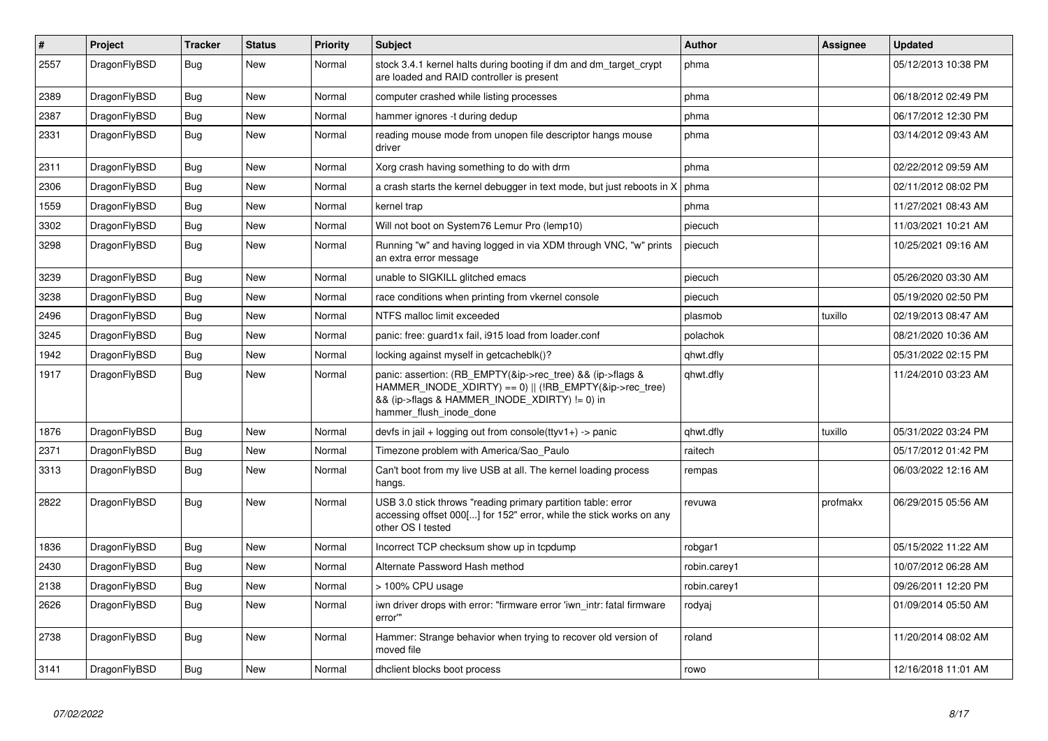| $\vert$ # | <b>Project</b> | <b>Tracker</b> | <b>Status</b> | <b>Priority</b> | <b>Subject</b>                                                                                                                                                                                    | <b>Author</b> | Assignee | <b>Updated</b>      |
|-----------|----------------|----------------|---------------|-----------------|---------------------------------------------------------------------------------------------------------------------------------------------------------------------------------------------------|---------------|----------|---------------------|
| 2557      | DragonFlyBSD   | Bug            | New           | Normal          | stock 3.4.1 kernel halts during booting if dm and dm target crypt<br>are loaded and RAID controller is present                                                                                    | phma          |          | 05/12/2013 10:38 PM |
| 2389      | DragonFlyBSD   | Bug            | <b>New</b>    | Normal          | computer crashed while listing processes                                                                                                                                                          | phma          |          | 06/18/2012 02:49 PM |
| 2387      | DragonFlyBSD   | <b>Bug</b>     | <b>New</b>    | Normal          | hammer ignores -t during dedup                                                                                                                                                                    | phma          |          | 06/17/2012 12:30 PM |
| 2331      | DragonFlyBSD   | Bug            | New           | Normal          | reading mouse mode from unopen file descriptor hangs mouse<br>driver                                                                                                                              | phma          |          | 03/14/2012 09:43 AM |
| 2311      | DragonFlyBSD   | Bug            | <b>New</b>    | Normal          | Xorg crash having something to do with drm                                                                                                                                                        | phma          |          | 02/22/2012 09:59 AM |
| 2306      | DragonFlyBSD   | Bug            | New           | Normal          | a crash starts the kernel debugger in text mode, but just reboots in X                                                                                                                            | phma          |          | 02/11/2012 08:02 PM |
| 1559      | DragonFlyBSD   | <b>Bug</b>     | <b>New</b>    | Normal          | kernel trap                                                                                                                                                                                       | phma          |          | 11/27/2021 08:43 AM |
| 3302      | DragonFlyBSD   | Bug            | <b>New</b>    | Normal          | Will not boot on System76 Lemur Pro (lemp10)                                                                                                                                                      | piecuch       |          | 11/03/2021 10:21 AM |
| 3298      | DragonFlyBSD   | Bug            | <b>New</b>    | Normal          | Running "w" and having logged in via XDM through VNC, "w" prints<br>an extra error message                                                                                                        | piecuch       |          | 10/25/2021 09:16 AM |
| 3239      | DragonFlyBSD   | Bug            | <b>New</b>    | Normal          | unable to SIGKILL glitched emacs                                                                                                                                                                  | piecuch       |          | 05/26/2020 03:30 AM |
| 3238      | DragonFlyBSD   | <b>Bug</b>     | <b>New</b>    | Normal          | race conditions when printing from vkernel console                                                                                                                                                | piecuch       |          | 05/19/2020 02:50 PM |
| 2496      | DragonFlyBSD   | Bug            | New           | Normal          | NTFS malloc limit exceeded                                                                                                                                                                        | plasmob       | tuxillo  | 02/19/2013 08:47 AM |
| 3245      | DragonFlyBSD   | <b>Bug</b>     | New           | Normal          | panic: free: guard1x fail, i915 load from loader.conf                                                                                                                                             | polachok      |          | 08/21/2020 10:36 AM |
| 1942      | DragonFlyBSD   | Bug            | New           | Normal          | locking against myself in getcacheblk()?                                                                                                                                                          | qhwt.dfly     |          | 05/31/2022 02:15 PM |
| 1917      | DragonFlyBSD   | Bug            | New           | Normal          | panic: assertion: (RB_EMPTY(&ip->rec_tree) && (ip->flags &<br>HAMMER_INODE_XDIRTY) == 0)    (!RB_EMPTY(&ip->rec_tree)<br>&& (ip->flags & HAMMER_INODE_XDIRTY) != 0) in<br>hammer flush inode done | qhwt.dfly     |          | 11/24/2010 03:23 AM |
| 1876      | DragonFlyBSD   | <b>Bug</b>     | <b>New</b>    | Normal          | devfs in jail + logging out from console(ttyv1+) -> panic                                                                                                                                         | qhwt.dfly     | tuxillo  | 05/31/2022 03:24 PM |
| 2371      | DragonFlyBSD   | Bug            | <b>New</b>    | Normal          | Timezone problem with America/Sao_Paulo                                                                                                                                                           | raitech       |          | 05/17/2012 01:42 PM |
| 3313      | DragonFlyBSD   | <b>Bug</b>     | <b>New</b>    | Normal          | Can't boot from my live USB at all. The kernel loading process<br>hangs.                                                                                                                          | rempas        |          | 06/03/2022 12:16 AM |
| 2822      | DragonFlyBSD   | <b>Bug</b>     | <b>New</b>    | Normal          | USB 3.0 stick throws "reading primary partition table: error<br>accessing offset 000[] for 152" error, while the stick works on any<br>other OS I tested                                          | revuwa        | profmakx | 06/29/2015 05:56 AM |
| 1836      | DragonFlyBSD   | <b>Bug</b>     | <b>New</b>    | Normal          | Incorrect TCP checksum show up in tcpdump                                                                                                                                                         | robgar1       |          | 05/15/2022 11:22 AM |
| 2430      | DragonFlyBSD   | Bug            | New           | Normal          | Alternate Password Hash method                                                                                                                                                                    | robin.carey1  |          | 10/07/2012 06:28 AM |
| 2138      | DragonFlyBSD   | Bug            | New           | Normal          | > 100% CPU usage                                                                                                                                                                                  | robin.carey1  |          | 09/26/2011 12:20 PM |
| 2626      | DragonFlyBSD   | <b>Bug</b>     | New           | Normal          | iwn driver drops with error: "firmware error 'iwn intr: fatal firmware<br>error""                                                                                                                 | rodyaj        |          | 01/09/2014 05:50 AM |
| 2738      | DragonFlyBSD   | <b>Bug</b>     | <b>New</b>    | Normal          | Hammer: Strange behavior when trying to recover old version of<br>moved file                                                                                                                      | roland        |          | 11/20/2014 08:02 AM |
| 3141      | DragonFlyBSD   | Bug            | New           | Normal          | dhclient blocks boot process                                                                                                                                                                      | rowo          |          | 12/16/2018 11:01 AM |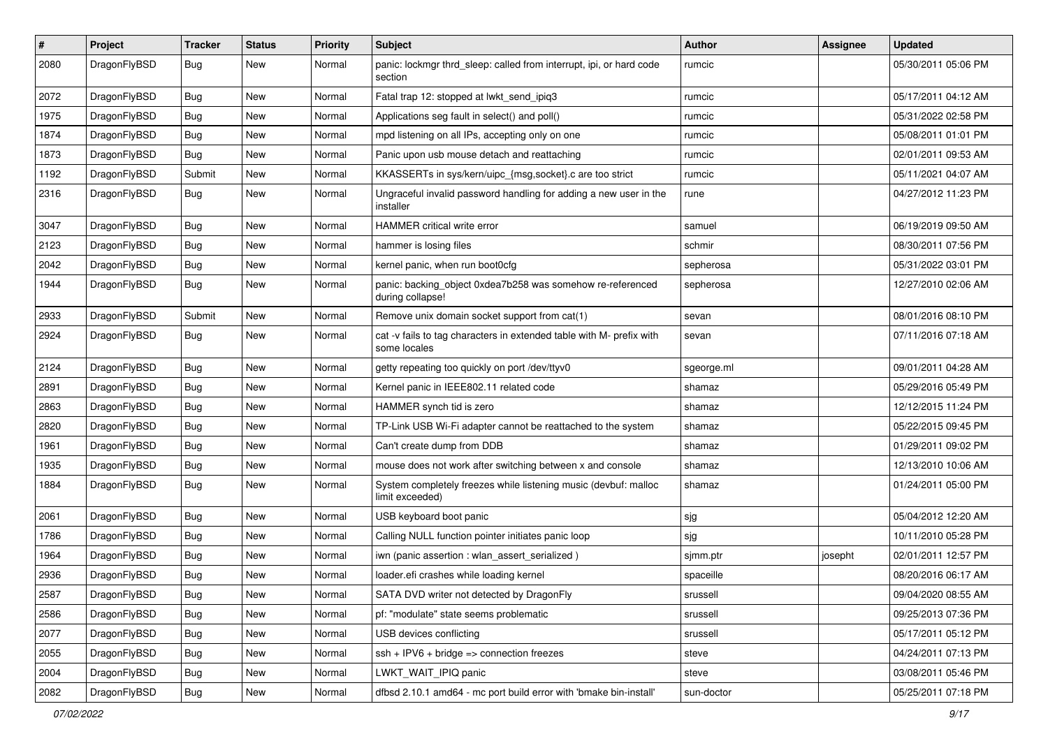| $\sharp$ | Project      | <b>Tracker</b> | <b>Status</b> | <b>Priority</b> | Subject                                                                              | Author     | Assignee | <b>Updated</b>      |
|----------|--------------|----------------|---------------|-----------------|--------------------------------------------------------------------------------------|------------|----------|---------------------|
| 2080     | DragonFlyBSD | Bug            | <b>New</b>    | Normal          | panic: lockmgr thrd_sleep: called from interrupt, ipi, or hard code<br>section       | rumcic     |          | 05/30/2011 05:06 PM |
| 2072     | DragonFlyBSD | Bug            | <b>New</b>    | Normal          | Fatal trap 12: stopped at lwkt send ipig3                                            | rumcic     |          | 05/17/2011 04:12 AM |
| 1975     | DragonFlyBSD | <b>Bug</b>     | New           | Normal          | Applications seg fault in select() and poll()                                        | rumcic     |          | 05/31/2022 02:58 PM |
| 1874     | DragonFlyBSD | Bug            | <b>New</b>    | Normal          | mpd listening on all IPs, accepting only on one                                      | rumcic     |          | 05/08/2011 01:01 PM |
| 1873     | DragonFlyBSD | <b>Bug</b>     | New           | Normal          | Panic upon usb mouse detach and reattaching                                          | rumcic     |          | 02/01/2011 09:53 AM |
| 1192     | DragonFlyBSD | Submit         | <b>New</b>    | Normal          | KKASSERTs in sys/kern/uipc_{msg,socket}.c are too strict                             | rumcic     |          | 05/11/2021 04:07 AM |
| 2316     | DragonFlyBSD | Bug            | New           | Normal          | Ungraceful invalid password handling for adding a new user in the<br>installer       | rune       |          | 04/27/2012 11:23 PM |
| 3047     | DragonFlyBSD | Bug            | <b>New</b>    | Normal          | HAMMER critical write error                                                          | samuel     |          | 06/19/2019 09:50 AM |
| 2123     | DragonFlyBSD | Bug            | <b>New</b>    | Normal          | hammer is losing files                                                               | schmir     |          | 08/30/2011 07:56 PM |
| 2042     | DragonFlyBSD | <b>Bug</b>     | <b>New</b>    | Normal          | kernel panic, when run boot0cfg                                                      | sepherosa  |          | 05/31/2022 03:01 PM |
| 1944     | DragonFlyBSD | Bug            | <b>New</b>    | Normal          | panic: backing_object 0xdea7b258 was somehow re-referenced<br>during collapse!       | sepherosa  |          | 12/27/2010 02:06 AM |
| 2933     | DragonFlyBSD | Submit         | <b>New</b>    | Normal          | Remove unix domain socket support from cat(1)                                        | sevan      |          | 08/01/2016 08:10 PM |
| 2924     | DragonFlyBSD | <b>Bug</b>     | New           | Normal          | cat -v fails to tag characters in extended table with M- prefix with<br>some locales | sevan      |          | 07/11/2016 07:18 AM |
| 2124     | DragonFlyBSD | Bug            | <b>New</b>    | Normal          | getty repeating too quickly on port /dev/ttyv0                                       | sgeorge.ml |          | 09/01/2011 04:28 AM |
| 2891     | DragonFlyBSD | <b>Bug</b>     | <b>New</b>    | Normal          | Kernel panic in IEEE802.11 related code                                              | shamaz     |          | 05/29/2016 05:49 PM |
| 2863     | DragonFlyBSD | <b>Bug</b>     | New           | Normal          | HAMMER synch tid is zero                                                             | shamaz     |          | 12/12/2015 11:24 PM |
| 2820     | DragonFlyBSD | <b>Bug</b>     | <b>New</b>    | Normal          | TP-Link USB Wi-Fi adapter cannot be reattached to the system                         | shamaz     |          | 05/22/2015 09:45 PM |
| 1961     | DragonFlyBSD | <b>Bug</b>     | New           | Normal          | Can't create dump from DDB                                                           | shamaz     |          | 01/29/2011 09:02 PM |
| 1935     | DragonFlyBSD | <b>Bug</b>     | <b>New</b>    | Normal          | mouse does not work after switching between x and console                            | shamaz     |          | 12/13/2010 10:06 AM |
| 1884     | DragonFlyBSD | Bug            | New           | Normal          | System completely freezes while listening music (devbuf: malloc<br>limit exceeded)   | shamaz     |          | 01/24/2011 05:00 PM |
| 2061     | DragonFlyBSD | Bug            | <b>New</b>    | Normal          | USB keyboard boot panic                                                              | sjg        |          | 05/04/2012 12:20 AM |
| 1786     | DragonFlyBSD | Bug            | New           | Normal          | Calling NULL function pointer initiates panic loop                                   | sjg        |          | 10/11/2010 05:28 PM |
| 1964     | DragonFlyBSD | <b>Bug</b>     | <b>New</b>    | Normal          | iwn (panic assertion : wlan_assert_serialized)                                       | sjmm.ptr   | josepht  | 02/01/2011 12:57 PM |
| 2936     | DragonFlyBSD | <b>Bug</b>     | New           | Normal          | loader.efi crashes while loading kernel                                              | spaceille  |          | 08/20/2016 06:17 AM |
| 2587     | DragonFlyBSD | <b>Bug</b>     | <b>New</b>    | Normal          | SATA DVD writer not detected by DragonFly                                            | srussell   |          | 09/04/2020 08:55 AM |
| 2586     | DragonFlyBSD | Bug            | <b>New</b>    | Normal          | pf: "modulate" state seems problematic                                               | srussell   |          | 09/25/2013 07:36 PM |
| 2077     | DragonFlyBSD | <b>Bug</b>     | New           | Normal          | USB devices conflicting                                                              | srussell   |          | 05/17/2011 05:12 PM |
| 2055     | DragonFlyBSD | <b>Bug</b>     | New           | Normal          | ssh + IPV6 + bridge => connection freezes                                            | steve      |          | 04/24/2011 07:13 PM |
| 2004     | DragonFlyBSD | Bug            | New           | Normal          | LWKT_WAIT_IPIQ panic                                                                 | steve      |          | 03/08/2011 05:46 PM |
| 2082     | DragonFlyBSD | <b>Bug</b>     | New           | Normal          | dfbsd 2.10.1 amd64 - mc port build error with 'bmake bin-install'                    | sun-doctor |          | 05/25/2011 07:18 PM |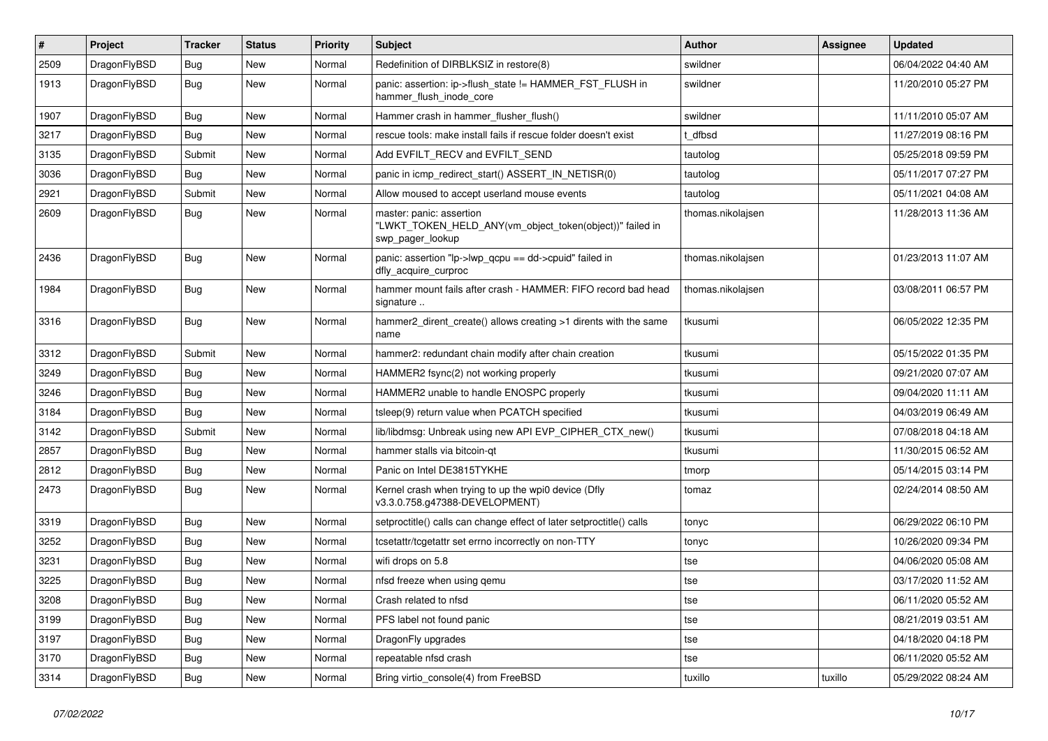| #    | Project      | <b>Tracker</b> | <b>Status</b> | <b>Priority</b> | <b>Subject</b>                                                                                           | Author            | Assignee | <b>Updated</b>      |
|------|--------------|----------------|---------------|-----------------|----------------------------------------------------------------------------------------------------------|-------------------|----------|---------------------|
| 2509 | DragonFlyBSD | Bug            | <b>New</b>    | Normal          | Redefinition of DIRBLKSIZ in restore(8)                                                                  | swildner          |          | 06/04/2022 04:40 AM |
| 1913 | DragonFlyBSD | Bug            | New           | Normal          | panic: assertion: ip->flush_state != HAMMER_FST_FLUSH in<br>hammer_flush_inode_core                      | swildner          |          | 11/20/2010 05:27 PM |
| 1907 | DragonFlyBSD | Bug            | <b>New</b>    | Normal          | Hammer crash in hammer flusher flush()                                                                   | swildner          |          | 11/11/2010 05:07 AM |
| 3217 | DragonFlyBSD | Bug            | <b>New</b>    | Normal          | rescue tools: make install fails if rescue folder doesn't exist                                          | t dfbsd           |          | 11/27/2019 08:16 PM |
| 3135 | DragonFlyBSD | Submit         | New           | Normal          | Add EVFILT_RECV and EVFILT_SEND                                                                          | tautolog          |          | 05/25/2018 09:59 PM |
| 3036 | DragonFlyBSD | Bug            | <b>New</b>    | Normal          | panic in icmp_redirect_start() ASSERT_IN_NETISR(0)                                                       | tautolog          |          | 05/11/2017 07:27 PM |
| 2921 | DragonFlyBSD | Submit         | New           | Normal          | Allow moused to accept userland mouse events                                                             | tautolog          |          | 05/11/2021 04:08 AM |
| 2609 | DragonFlyBSD | Bug            | <b>New</b>    | Normal          | master: panic: assertion<br>"LWKT_TOKEN_HELD_ANY(vm_object_token(object))" failed in<br>swp pager lookup | thomas.nikolajsen |          | 11/28/2013 11:36 AM |
| 2436 | DragonFlyBSD | Bug            | <b>New</b>    | Normal          | panic: assertion "lp->lwp_qcpu == dd->cpuid" failed in<br>dfly_acquire_curproc                           | thomas.nikolajsen |          | 01/23/2013 11:07 AM |
| 1984 | DragonFlyBSD | Bug            | <b>New</b>    | Normal          | hammer mount fails after crash - HAMMER: FIFO record bad head<br>signature                               | thomas.nikolaisen |          | 03/08/2011 06:57 PM |
| 3316 | DragonFlyBSD | Bug            | New           | Normal          | hammer2 dirent create() allows creating >1 dirents with the same<br>name                                 | tkusumi           |          | 06/05/2022 12:35 PM |
| 3312 | DragonFlyBSD | Submit         | <b>New</b>    | Normal          | hammer2: redundant chain modify after chain creation                                                     | tkusumi           |          | 05/15/2022 01:35 PM |
| 3249 | DragonFlyBSD | <b>Bug</b>     | New           | Normal          | HAMMER2 fsync(2) not working properly                                                                    | tkusumi           |          | 09/21/2020 07:07 AM |
| 3246 | DragonFlyBSD | <b>Bug</b>     | <b>New</b>    | Normal          | HAMMER2 unable to handle ENOSPC properly                                                                 | tkusumi           |          | 09/04/2020 11:11 AM |
| 3184 | DragonFlyBSD | Bug            | <b>New</b>    | Normal          | tsleep(9) return value when PCATCH specified                                                             | tkusumi           |          | 04/03/2019 06:49 AM |
| 3142 | DragonFlyBSD | Submit         | <b>New</b>    | Normal          | lib/libdmsg: Unbreak using new API EVP_CIPHER_CTX_new()                                                  | tkusumi           |          | 07/08/2018 04:18 AM |
| 2857 | DragonFlyBSD | Bug            | <b>New</b>    | Normal          | hammer stalls via bitcoin-qt                                                                             | tkusumi           |          | 11/30/2015 06:52 AM |
| 2812 | DragonFlyBSD | <b>Bug</b>     | <b>New</b>    | Normal          | Panic on Intel DE3815TYKHE                                                                               | tmorp             |          | 05/14/2015 03:14 PM |
| 2473 | DragonFlyBSD | Bug            | New           | Normal          | Kernel crash when trying to up the wpi0 device (Dfly<br>v3.3.0.758.g47388-DEVELOPMENT)                   | tomaz             |          | 02/24/2014 08:50 AM |
| 3319 | DragonFlyBSD | Bug            | <b>New</b>    | Normal          | setproctitle() calls can change effect of later setproctitle() calls                                     | tonyc             |          | 06/29/2022 06:10 PM |
| 3252 | DragonFlyBSD | <b>Bug</b>     | <b>New</b>    | Normal          | tcsetattr/tcgetattr set errno incorrectly on non-TTY                                                     | tonyc             |          | 10/26/2020 09:34 PM |
| 3231 | DragonFlyBSD | <b>Bug</b>     | <b>New</b>    | Normal          | wifi drops on 5.8                                                                                        | tse               |          | 04/06/2020 05:08 AM |
| 3225 | DragonFlyBSD | <b>Bug</b>     | <b>New</b>    | Normal          | nfsd freeze when using gemu                                                                              | tse               |          | 03/17/2020 11:52 AM |
| 3208 | DragonFlyBSD | Bug            | New           | Normal          | Crash related to nfsd                                                                                    | tse               |          | 06/11/2020 05:52 AM |
| 3199 | DragonFlyBSD | Bug            | New           | Normal          | PFS label not found panic                                                                                | tse               |          | 08/21/2019 03:51 AM |
| 3197 | DragonFlyBSD | Bug            | New           | Normal          | DragonFly upgrades                                                                                       | tse               |          | 04/18/2020 04:18 PM |
| 3170 | DragonFlyBSD | Bug            | New           | Normal          | repeatable nfsd crash                                                                                    | tse               |          | 06/11/2020 05:52 AM |
| 3314 | DragonFlyBSD | <b>Bug</b>     | New           | Normal          | Bring virtio console(4) from FreeBSD                                                                     | tuxillo           | tuxillo  | 05/29/2022 08:24 AM |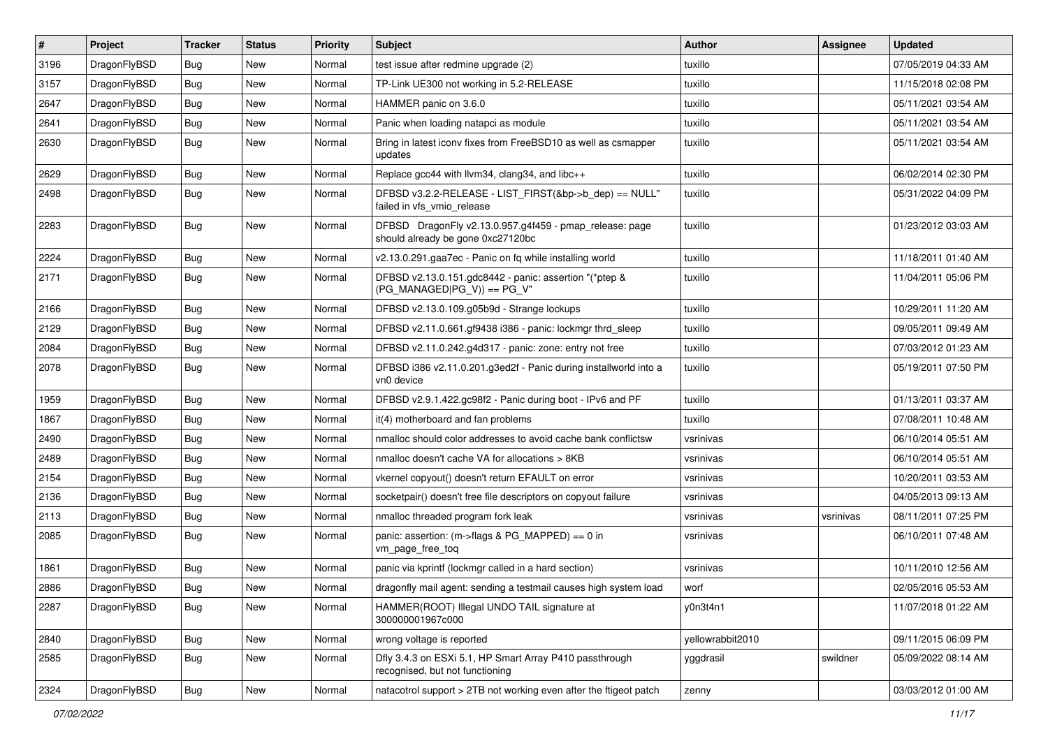| $\sharp$ | Project      | <b>Tracker</b> | <b>Status</b> | <b>Priority</b> | Subject                                                                                      | <b>Author</b>    | Assignee  | <b>Updated</b>      |
|----------|--------------|----------------|---------------|-----------------|----------------------------------------------------------------------------------------------|------------------|-----------|---------------------|
| 3196     | DragonFlyBSD | Bug            | New           | Normal          | test issue after redmine upgrade (2)                                                         | tuxillo          |           | 07/05/2019 04:33 AM |
| 3157     | DragonFlyBSD | Bug            | <b>New</b>    | Normal          | TP-Link UE300 not working in 5.2-RELEASE                                                     | tuxillo          |           | 11/15/2018 02:08 PM |
| 2647     | DragonFlyBSD | Bug            | New           | Normal          | HAMMER panic on 3.6.0                                                                        | tuxillo          |           | 05/11/2021 03:54 AM |
| 2641     | DragonFlyBSD | Bug            | New           | Normal          | Panic when loading natapci as module                                                         | tuxillo          |           | 05/11/2021 03:54 AM |
| 2630     | DragonFlyBSD | Bug            | <b>New</b>    | Normal          | Bring in latest iconv fixes from FreeBSD10 as well as csmapper<br>updates                    | tuxillo          |           | 05/11/2021 03:54 AM |
| 2629     | DragonFlyBSD | Bug            | <b>New</b>    | Normal          | Replace gcc44 with llvm34, clang34, and libc++                                               | tuxillo          |           | 06/02/2014 02:30 PM |
| 2498     | DragonFlyBSD | Bug            | <b>New</b>    | Normal          | DFBSD v3.2.2-RELEASE - LIST_FIRST(&bp->b_dep) == NULL"<br>failed in vfs_vmio_release         | tuxillo          |           | 05/31/2022 04:09 PM |
| 2283     | DragonFlyBSD | Bug            | New           | Normal          | DFBSD DragonFly v2.13.0.957.g4f459 - pmap_release: page<br>should already be gone 0xc27120bc | tuxillo          |           | 01/23/2012 03:03 AM |
| 2224     | DragonFlyBSD | Bug            | <b>New</b>    | Normal          | v2.13.0.291.gaa7ec - Panic on fq while installing world                                      | tuxillo          |           | 11/18/2011 01:40 AM |
| 2171     | DragonFlyBSD | Bug            | <b>New</b>    | Normal          | DFBSD v2.13.0.151.gdc8442 - panic: assertion "(*ptep &<br>$(PG_MANAGED PG_V)$ == PG_V"       | tuxillo          |           | 11/04/2011 05:06 PM |
| 2166     | DragonFlyBSD | Bug            | New           | Normal          | DFBSD v2.13.0.109.g05b9d - Strange lockups                                                   | tuxillo          |           | 10/29/2011 11:20 AM |
| 2129     | DragonFlyBSD | Bug            | New           | Normal          | DFBSD v2.11.0.661.gf9438 i386 - panic: lockmgr thrd sleep                                    | tuxillo          |           | 09/05/2011 09:49 AM |
| 2084     | DragonFlyBSD | Bug            | <b>New</b>    | Normal          | DFBSD v2.11.0.242.g4d317 - panic: zone: entry not free                                       | tuxillo          |           | 07/03/2012 01:23 AM |
| 2078     | DragonFlyBSD | Bug            | New           | Normal          | DFBSD i386 v2.11.0.201.g3ed2f - Panic during installworld into a<br>vn0 device               | tuxillo          |           | 05/19/2011 07:50 PM |
| 1959     | DragonFlyBSD | Bug            | <b>New</b>    | Normal          | DFBSD v2.9.1.422.gc98f2 - Panic during boot - IPv6 and PF                                    | tuxillo          |           | 01/13/2011 03:37 AM |
| 1867     | DragonFlyBSD | Bug            | New           | Normal          | it(4) motherboard and fan problems                                                           | tuxillo          |           | 07/08/2011 10:48 AM |
| 2490     | DragonFlyBSD | Bug            | New           | Normal          | nmalloc should color addresses to avoid cache bank conflictsw                                | vsrinivas        |           | 06/10/2014 05:51 AM |
| 2489     | DragonFlyBSD | Bug            | <b>New</b>    | Normal          | nmalloc doesn't cache VA for allocations > 8KB                                               | vsrinivas        |           | 06/10/2014 05:51 AM |
| 2154     | DragonFlyBSD | Bug            | New           | Normal          | vkernel copyout() doesn't return EFAULT on error                                             | vsrinivas        |           | 10/20/2011 03:53 AM |
| 2136     | DragonFlyBSD | Bug            | New           | Normal          | socketpair() doesn't free file descriptors on copyout failure                                | vsrinivas        |           | 04/05/2013 09:13 AM |
| 2113     | DragonFlyBSD | Bug            | <b>New</b>    | Normal          | nmalloc threaded program fork leak                                                           | vsrinivas        | vsrinivas | 08/11/2011 07:25 PM |
| 2085     | DragonFlyBSD | Bug            | New           | Normal          | panic: assertion: (m->flags & PG_MAPPED) == 0 in<br>vm_page_free_toq                         | vsrinivas        |           | 06/10/2011 07:48 AM |
| 1861     | DragonFlyBSD | Bug            | <b>New</b>    | Normal          | panic via kprintf (lockmgr called in a hard section)                                         | vsrinivas        |           | 10/11/2010 12:56 AM |
| 2886     | DragonFlyBSD | Bug            | <b>New</b>    | Normal          | dragonfly mail agent: sending a testmail causes high system load                             | worf             |           | 02/05/2016 05:53 AM |
| 2287     | DragonFlyBSD | <b>Bug</b>     | New           | Normal          | HAMMER(ROOT) Illegal UNDO TAIL signature at<br>300000001967c000                              | y0n3t4n1         |           | 11/07/2018 01:22 AM |
| 2840     | DragonFlyBSD | <b>Bug</b>     | <b>New</b>    | Normal          | wrong voltage is reported                                                                    | yellowrabbit2010 |           | 09/11/2015 06:09 PM |
| 2585     | DragonFlyBSD | <b>Bug</b>     | New           | Normal          | Dfly 3.4.3 on ESXi 5.1, HP Smart Array P410 passthrough<br>recognised, but not functioning   | yggdrasil        | swildner  | 05/09/2022 08:14 AM |
| 2324     | DragonFlyBSD | Bug            | New           | Normal          | natacotrol support > 2TB not working even after the ftigeot patch                            | zenny            |           | 03/03/2012 01:00 AM |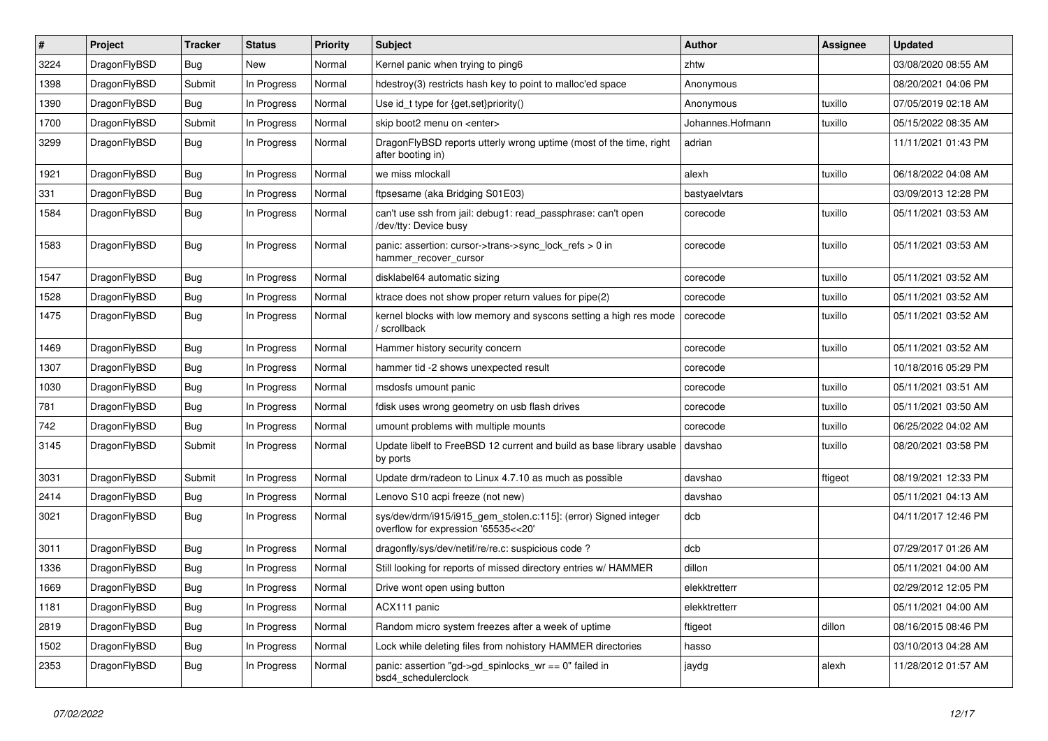| $\vert$ # | Project      | <b>Tracker</b> | <b>Status</b> | <b>Priority</b> | Subject                                                                                                | <b>Author</b>    | <b>Assignee</b> | <b>Updated</b>      |
|-----------|--------------|----------------|---------------|-----------------|--------------------------------------------------------------------------------------------------------|------------------|-----------------|---------------------|
| 3224      | DragonFlyBSD | Bug            | New           | Normal          | Kernel panic when trying to ping6                                                                      | zhtw             |                 | 03/08/2020 08:55 AM |
| 1398      | DragonFlyBSD | Submit         | In Progress   | Normal          | hdestroy(3) restricts hash key to point to malloc'ed space                                             | Anonymous        |                 | 08/20/2021 04:06 PM |
| 1390      | DragonFlyBSD | <b>Bug</b>     | In Progress   | Normal          | Use id_t type for {get,set}priority()                                                                  | Anonymous        | tuxillo         | 07/05/2019 02:18 AM |
| 1700      | DragonFlyBSD | Submit         | In Progress   | Normal          | skip boot2 menu on <enter></enter>                                                                     | Johannes.Hofmann | tuxillo         | 05/15/2022 08:35 AM |
| 3299      | DragonFlyBSD | <b>Bug</b>     | In Progress   | Normal          | DragonFlyBSD reports utterly wrong uptime (most of the time, right<br>after booting in)                | adrian           |                 | 11/11/2021 01:43 PM |
| 1921      | DragonFlyBSD | Bug            | In Progress   | Normal          | we miss mlockall                                                                                       | alexh            | tuxillo         | 06/18/2022 04:08 AM |
| 331       | DragonFlyBSD | <b>Bug</b>     | In Progress   | Normal          | ftpsesame (aka Bridging S01E03)                                                                        | bastyaelvtars    |                 | 03/09/2013 12:28 PM |
| 1584      | DragonFlyBSD | <b>Bug</b>     | In Progress   | Normal          | can't use ssh from jail: debug1: read_passphrase: can't open<br>/dev/tty: Device busy                  | corecode         | tuxillo         | 05/11/2021 03:53 AM |
| 1583      | DragonFlyBSD | Bug            | In Progress   | Normal          | panic: assertion: cursor->trans->sync_lock_refs > 0 in<br>hammer_recover_cursor                        | corecode         | tuxillo         | 05/11/2021 03:53 AM |
| 1547      | DragonFlyBSD | <b>Bug</b>     | In Progress   | Normal          | disklabel64 automatic sizing                                                                           | corecode         | tuxillo         | 05/11/2021 03:52 AM |
| 1528      | DragonFlyBSD | Bug            | In Progress   | Normal          | ktrace does not show proper return values for pipe(2)                                                  | corecode         | tuxillo         | 05/11/2021 03:52 AM |
| 1475      | DragonFlyBSD | Bug            | In Progress   | Normal          | kernel blocks with low memory and syscons setting a high res mode<br>/ scrollback                      | corecode         | tuxillo         | 05/11/2021 03:52 AM |
| 1469      | DragonFlyBSD | <b>Bug</b>     | In Progress   | Normal          | Hammer history security concern                                                                        | corecode         | tuxillo         | 05/11/2021 03:52 AM |
| 1307      | DragonFlyBSD | <b>Bug</b>     | In Progress   | Normal          | hammer tid -2 shows unexpected result                                                                  | corecode         |                 | 10/18/2016 05:29 PM |
| 1030      | DragonFlyBSD | <b>Bug</b>     | In Progress   | Normal          | msdosfs umount panic                                                                                   | corecode         | tuxillo         | 05/11/2021 03:51 AM |
| 781       | DragonFlyBSD | Bug            | In Progress   | Normal          | fdisk uses wrong geometry on usb flash drives                                                          | corecode         | tuxillo         | 05/11/2021 03:50 AM |
| 742       | DragonFlyBSD | <b>Bug</b>     | In Progress   | Normal          | umount problems with multiple mounts                                                                   | corecode         | tuxillo         | 06/25/2022 04:02 AM |
| 3145      | DragonFlyBSD | Submit         | In Progress   | Normal          | Update libelf to FreeBSD 12 current and build as base library usable<br>by ports                       | davshao          | tuxillo         | 08/20/2021 03:58 PM |
| 3031      | DragonFlyBSD | Submit         | In Progress   | Normal          | Update drm/radeon to Linux 4.7.10 as much as possible                                                  | davshao          | ftigeot         | 08/19/2021 12:33 PM |
| 2414      | DragonFlyBSD | Bug            | In Progress   | Normal          | Lenovo S10 acpi freeze (not new)                                                                       | davshao          |                 | 05/11/2021 04:13 AM |
| 3021      | DragonFlyBSD | <b>Bug</b>     | In Progress   | Normal          | sys/dev/drm/i915/i915_gem_stolen.c:115]: (error) Signed integer<br>overflow for expression '65535<<20' | dcb              |                 | 04/11/2017 12:46 PM |
| 3011      | DragonFlyBSD | <b>Bug</b>     | In Progress   | Normal          | dragonfly/sys/dev/netif/re/re.c: suspicious code?                                                      | dcb              |                 | 07/29/2017 01:26 AM |
| 1336      | DragonFlyBSD | <b>Bug</b>     | In Progress   | Normal          | Still looking for reports of missed directory entries w/ HAMMER                                        | dillon           |                 | 05/11/2021 04:00 AM |
| 1669      | DragonFlyBSD | Bug            | In Progress   | Normal          | Drive wont open using button                                                                           | elekktretterr    |                 | 02/29/2012 12:05 PM |
| 1181      | DragonFlyBSD | Bug            | In Progress   | Normal          | ACX111 panic                                                                                           | elekktretterr    |                 | 05/11/2021 04:00 AM |
| 2819      | DragonFlyBSD | <b>Bug</b>     | In Progress   | Normal          | Random micro system freezes after a week of uptime                                                     | ftigeot          | dillon          | 08/16/2015 08:46 PM |
| 1502      | DragonFlyBSD | <b>Bug</b>     | In Progress   | Normal          | Lock while deleting files from nohistory HAMMER directories                                            | hasso            |                 | 03/10/2013 04:28 AM |
| 2353      | DragonFlyBSD | <b>Bug</b>     | In Progress   | Normal          | panic: assertion "gd->gd_spinlocks_wr == 0" failed in<br>bsd4_schedulerclock                           | jaydg            | alexh           | 11/28/2012 01:57 AM |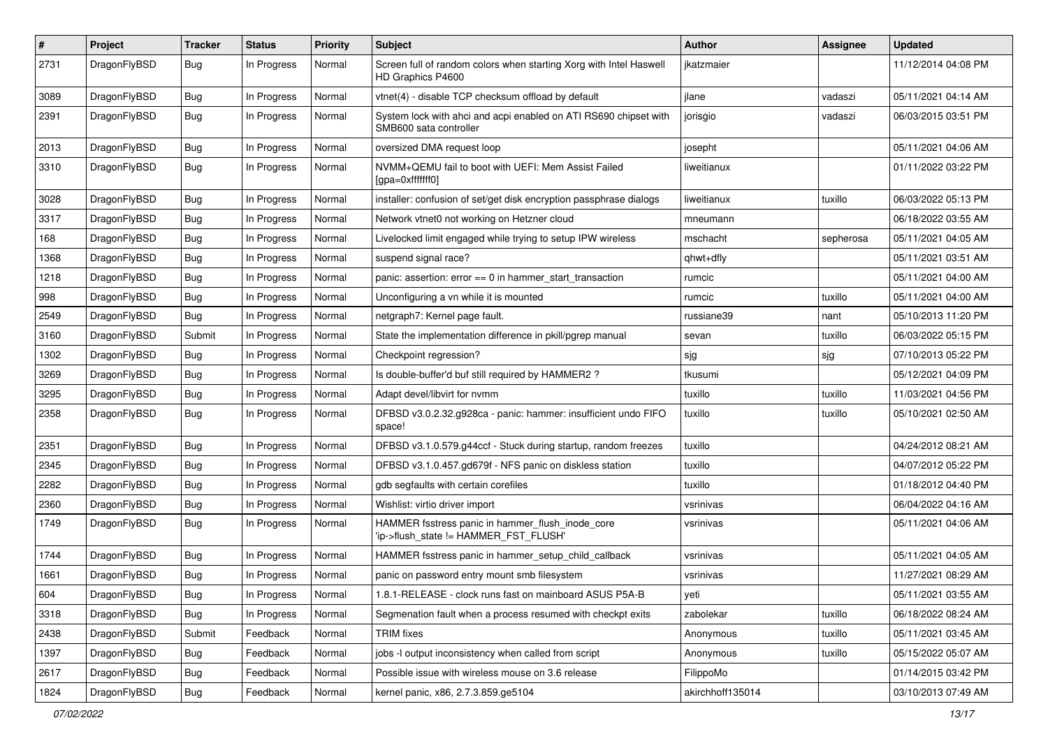| $\pmb{\#}$ | Project      | <b>Tracker</b> | <b>Status</b> | <b>Priority</b> | Subject                                                                                    | Author           | Assignee  | <b>Updated</b>      |
|------------|--------------|----------------|---------------|-----------------|--------------------------------------------------------------------------------------------|------------------|-----------|---------------------|
| 2731       | DragonFlyBSD | Bug            | In Progress   | Normal          | Screen full of random colors when starting Xorg with Intel Haswell<br>HD Graphics P4600    | jkatzmaier       |           | 11/12/2014 04:08 PM |
| 3089       | DragonFlyBSD | <b>Bug</b>     | In Progress   | Normal          | vtnet(4) - disable TCP checksum offload by default                                         | jlane            | vadaszi   | 05/11/2021 04:14 AM |
| 2391       | DragonFlyBSD | Bug            | In Progress   | Normal          | System lock with ahci and acpi enabled on ATI RS690 chipset with<br>SMB600 sata controller | jorisgio         | vadaszi   | 06/03/2015 03:51 PM |
| 2013       | DragonFlyBSD | <b>Bug</b>     | In Progress   | Normal          | oversized DMA request loop                                                                 | josepht          |           | 05/11/2021 04:06 AM |
| 3310       | DragonFlyBSD | Bug            | In Progress   | Normal          | NVMM+QEMU fail to boot with UEFI: Mem Assist Failed<br>[gpa=0xfffffff0]                    | liweitianux      |           | 01/11/2022 03:22 PM |
| 3028       | DragonFlyBSD | <b>Bug</b>     | In Progress   | Normal          | installer: confusion of set/get disk encryption passphrase dialogs                         | liweitianux      | tuxillo   | 06/03/2022 05:13 PM |
| 3317       | DragonFlyBSD | <b>Bug</b>     | In Progress   | Normal          | Network vtnet0 not working on Hetzner cloud                                                | mneumann         |           | 06/18/2022 03:55 AM |
| 168        | DragonFlyBSD | Bug            | In Progress   | Normal          | Livelocked limit engaged while trying to setup IPW wireless                                | mschacht         | sepherosa | 05/11/2021 04:05 AM |
| 1368       | DragonFlyBSD | Bug            | In Progress   | Normal          | suspend signal race?                                                                       | qhwt+dfly        |           | 05/11/2021 03:51 AM |
| 1218       | DragonFlyBSD | Bug            | In Progress   | Normal          | panic: assertion: $error == 0$ in hammer start transaction                                 | rumcic           |           | 05/11/2021 04:00 AM |
| 998        | DragonFlyBSD | Bug            | In Progress   | Normal          | Unconfiguring a vn while it is mounted                                                     | rumcic           | tuxillo   | 05/11/2021 04:00 AM |
| 2549       | DragonFlyBSD | Bug            | In Progress   | Normal          | netgraph7: Kernel page fault.                                                              | russiane39       | nant      | 05/10/2013 11:20 PM |
| 3160       | DragonFlyBSD | Submit         | In Progress   | Normal          | State the implementation difference in pkill/pgrep manual                                  | sevan            | tuxillo   | 06/03/2022 05:15 PM |
| 1302       | DragonFlyBSD | Bug            | In Progress   | Normal          | Checkpoint regression?                                                                     | sjg              | sjg       | 07/10/2013 05:22 PM |
| 3269       | DragonFlyBSD | <b>Bug</b>     | In Progress   | Normal          | Is double-buffer'd buf still required by HAMMER2 ?                                         | tkusumi          |           | 05/12/2021 04:09 PM |
| 3295       | DragonFlyBSD | Bug            | In Progress   | Normal          | Adapt devel/libvirt for nvmm                                                               | tuxillo          | tuxillo   | 11/03/2021 04:56 PM |
| 2358       | DragonFlyBSD | Bug            | In Progress   | Normal          | DFBSD v3.0.2.32.g928ca - panic: hammer: insufficient undo FIFO<br>space!                   | tuxillo          | tuxillo   | 05/10/2021 02:50 AM |
| 2351       | DragonFlyBSD | <b>Bug</b>     | In Progress   | Normal          | DFBSD v3.1.0.579.g44ccf - Stuck during startup, random freezes                             | tuxillo          |           | 04/24/2012 08:21 AM |
| 2345       | DragonFlyBSD | <b>Bug</b>     | In Progress   | Normal          | DFBSD v3.1.0.457.gd679f - NFS panic on diskless station                                    | tuxillo          |           | 04/07/2012 05:22 PM |
| 2282       | DragonFlyBSD | Bug            | In Progress   | Normal          | gdb segfaults with certain corefiles                                                       | tuxillo          |           | 01/18/2012 04:40 PM |
| 2360       | DragonFlyBSD | Bug            | In Progress   | Normal          | Wishlist: virtio driver import                                                             | vsrinivas        |           | 06/04/2022 04:16 AM |
| 1749       | DragonFlyBSD | Bug            | In Progress   | Normal          | HAMMER fsstress panic in hammer_flush_inode_core<br>'ip->flush state != HAMMER FST FLUSH'  | vsrinivas        |           | 05/11/2021 04:06 AM |
| 1744       | DragonFlyBSD | <b>Bug</b>     | In Progress   | Normal          | HAMMER fsstress panic in hammer_setup_child_callback                                       | vsrinivas        |           | 05/11/2021 04:05 AM |
| 1661       | DragonFlyBSD | Bug            | In Progress   | Normal          | panic on password entry mount smb filesystem                                               | vsrinivas        |           | 11/27/2021 08:29 AM |
| 604        | DragonFlyBSD | Bug            | In Progress   | Normal          | 1.8.1-RELEASE - clock runs fast on mainboard ASUS P5A-B                                    | l yeti           |           | 05/11/2021 03:55 AM |
| 3318       | DragonFlyBSD | Bug            | In Progress   | Normal          | Segmenation fault when a process resumed with checkpt exits                                | zabolekar        | tuxillo   | 06/18/2022 08:24 AM |
| 2438       | DragonFlyBSD | Submit         | Feedback      | Normal          | TRIM fixes                                                                                 | Anonymous        | tuxillo   | 05/11/2021 03:45 AM |
| 1397       | DragonFlyBSD | <b>Bug</b>     | Feedback      | Normal          | jobs -I output inconsistency when called from script                                       | Anonymous        | tuxillo   | 05/15/2022 05:07 AM |
| 2617       | DragonFlyBSD | Bug            | Feedback      | Normal          | Possible issue with wireless mouse on 3.6 release                                          | FilippoMo        |           | 01/14/2015 03:42 PM |
| 1824       | DragonFlyBSD | Bug            | Feedback      | Normal          | kernel panic, x86, 2.7.3.859.ge5104                                                        | akirchhoff135014 |           | 03/10/2013 07:49 AM |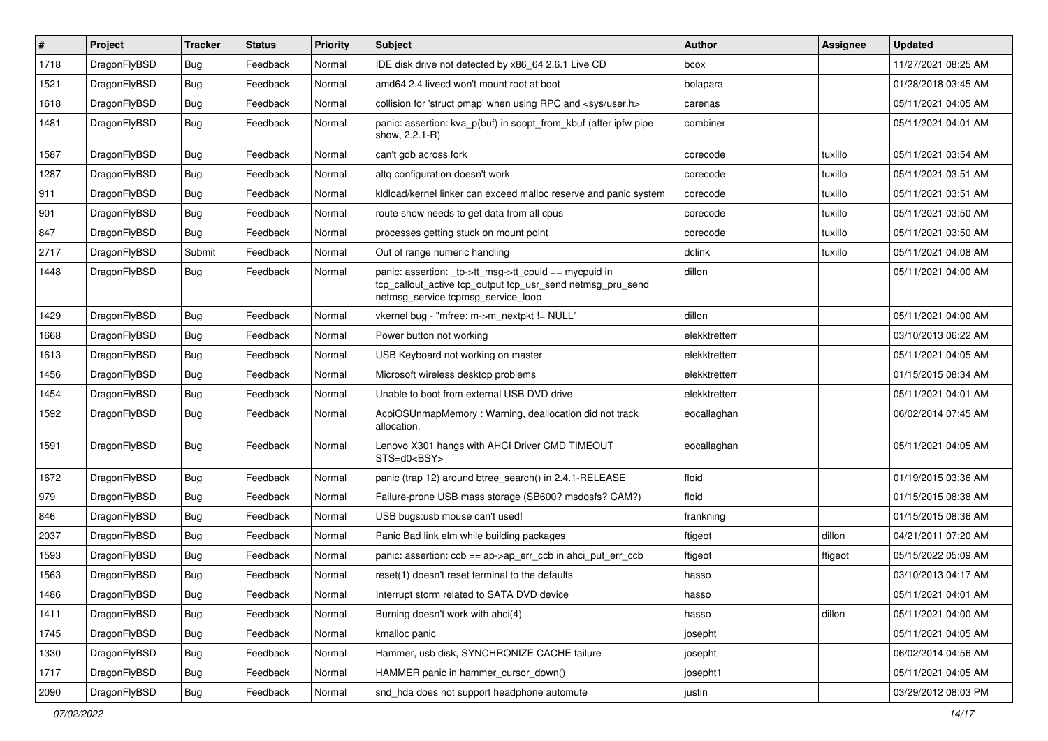| $\vert$ # | Project      | <b>Tracker</b> | <b>Status</b> | <b>Priority</b> | Subject                                                                                                                                                   | <b>Author</b> | Assignee | <b>Updated</b>      |
|-----------|--------------|----------------|---------------|-----------------|-----------------------------------------------------------------------------------------------------------------------------------------------------------|---------------|----------|---------------------|
| 1718      | DragonFlyBSD | Bug            | Feedback      | Normal          | IDE disk drive not detected by x86 64 2.6.1 Live CD                                                                                                       | bcox          |          | 11/27/2021 08:25 AM |
| 1521      | DragonFlyBSD | Bug            | Feedback      | Normal          | amd64 2.4 livecd won't mount root at boot                                                                                                                 | bolapara      |          | 01/28/2018 03:45 AM |
| 1618      | DragonFlyBSD | Bug            | Feedback      | Normal          | collision for 'struct pmap' when using RPC and <sys user.h=""></sys>                                                                                      | carenas       |          | 05/11/2021 04:05 AM |
| 1481      | DragonFlyBSD | Bug            | Feedback      | Normal          | panic: assertion: kva_p(buf) in soopt_from_kbuf (after ipfw pipe<br>show, 2.2.1-R)                                                                        | combiner      |          | 05/11/2021 04:01 AM |
| 1587      | DragonFlyBSD | Bug            | Feedback      | Normal          | can't gdb across fork                                                                                                                                     | corecode      | tuxillo  | 05/11/2021 03:54 AM |
| 1287      | DragonFlyBSD | Bug            | Feedback      | Normal          | altg configuration doesn't work                                                                                                                           | corecode      | tuxillo  | 05/11/2021 03:51 AM |
| 911       | DragonFlyBSD | Bug            | Feedback      | Normal          | kldload/kernel linker can exceed malloc reserve and panic system                                                                                          | corecode      | tuxillo  | 05/11/2021 03:51 AM |
| 901       | DragonFlyBSD | Bug            | Feedback      | Normal          | route show needs to get data from all cpus                                                                                                                | corecode      | tuxillo  | 05/11/2021 03:50 AM |
| 847       | DragonFlyBSD | Bug            | Feedback      | Normal          | processes getting stuck on mount point                                                                                                                    | corecode      | tuxillo  | 05/11/2021 03:50 AM |
| 2717      | DragonFlyBSD | Submit         | Feedback      | Normal          | Out of range numeric handling                                                                                                                             | dclink        | tuxillo  | 05/11/2021 04:08 AM |
| 1448      | DragonFlyBSD | Bug            | Feedback      | Normal          | panic: assertion: _tp->tt_msg->tt_cpuid == mycpuid in<br>tcp_callout_active tcp_output tcp_usr_send netmsg_pru_send<br>netmsg_service tcpmsg_service_loop | dillon        |          | 05/11/2021 04:00 AM |
| 1429      | DragonFlyBSD | Bug            | Feedback      | Normal          | vkernel bug - "mfree: m->m_nextpkt != NULL"                                                                                                               | dillon        |          | 05/11/2021 04:00 AM |
| 1668      | DragonFlyBSD | <b>Bug</b>     | Feedback      | Normal          | Power button not working                                                                                                                                  | elekktretterr |          | 03/10/2013 06:22 AM |
| 1613      | DragonFlyBSD | <b>Bug</b>     | Feedback      | Normal          | USB Keyboard not working on master                                                                                                                        | elekktretterr |          | 05/11/2021 04:05 AM |
| 1456      | DragonFlyBSD | <b>Bug</b>     | Feedback      | Normal          | Microsoft wireless desktop problems                                                                                                                       | elekktretterr |          | 01/15/2015 08:34 AM |
| 1454      | DragonFlyBSD | <b>Bug</b>     | Feedback      | Normal          | Unable to boot from external USB DVD drive                                                                                                                | elekktretterr |          | 05/11/2021 04:01 AM |
| 1592      | DragonFlyBSD | <b>Bug</b>     | Feedback      | Normal          | AcpiOSUnmapMemory: Warning, deallocation did not track<br>allocation.                                                                                     | eocallaghan   |          | 06/02/2014 07:45 AM |
| 1591      | DragonFlyBSD | <b>Bug</b>     | Feedback      | Normal          | Lenovo X301 hangs with AHCI Driver CMD TIMEOUT<br>STS=d0 <bsy></bsy>                                                                                      | eocallaghan   |          | 05/11/2021 04:05 AM |
| 1672      | DragonFlyBSD | <b>Bug</b>     | Feedback      | Normal          | panic (trap 12) around btree search() in 2.4.1-RELEASE                                                                                                    | floid         |          | 01/19/2015 03:36 AM |
| 979       | DragonFlyBSD | <b>Bug</b>     | Feedback      | Normal          | Failure-prone USB mass storage (SB600? msdosfs? CAM?)                                                                                                     | floid         |          | 01/15/2015 08:38 AM |
| 846       | DragonFlyBSD | <b>Bug</b>     | Feedback      | Normal          | USB bugs:usb mouse can't used!                                                                                                                            | frankning     |          | 01/15/2015 08:36 AM |
| 2037      | DragonFlyBSD | <b>Bug</b>     | Feedback      | Normal          | Panic Bad link elm while building packages                                                                                                                | ftigeot       | dillon   | 04/21/2011 07:20 AM |
| 1593      | DragonFlyBSD | <b>Bug</b>     | Feedback      | Normal          | panic: assertion: $ccb == ap > ap$ err $ccb$ in ahci put err $ccb$                                                                                        | ftigeot       | ftigeot  | 05/15/2022 05:09 AM |
| 1563      | DragonFlyBSD | <b>Bug</b>     | Feedback      | Normal          | reset(1) doesn't reset terminal to the defaults                                                                                                           | hasso         |          | 03/10/2013 04:17 AM |
| 1486      | DragonFlyBSD | <b>Bug</b>     | Feedback      | Normal          | Interrupt storm related to SATA DVD device                                                                                                                | hasso         |          | 05/11/2021 04:01 AM |
| 1411      | DragonFlyBSD | <b>Bug</b>     | Feedback      | Normal          | Burning doesn't work with ahci(4)                                                                                                                         | hasso         | dillon   | 05/11/2021 04:00 AM |
| 1745      | DragonFlyBSD | <b>Bug</b>     | Feedback      | Normal          | kmalloc panic                                                                                                                                             | josepht       |          | 05/11/2021 04:05 AM |
| 1330      | DragonFlyBSD | <b>Bug</b>     | Feedback      | Normal          | Hammer, usb disk, SYNCHRONIZE CACHE failure                                                                                                               | josepht       |          | 06/02/2014 04:56 AM |
| 1717      | DragonFlyBSD | <b>Bug</b>     | Feedback      | Normal          | HAMMER panic in hammer_cursor_down()                                                                                                                      | josepht1      |          | 05/11/2021 04:05 AM |
| 2090      | DragonFlyBSD | <b>Bug</b>     | Feedback      | Normal          | snd_hda does not support headphone automute                                                                                                               | justin        |          | 03/29/2012 08:03 PM |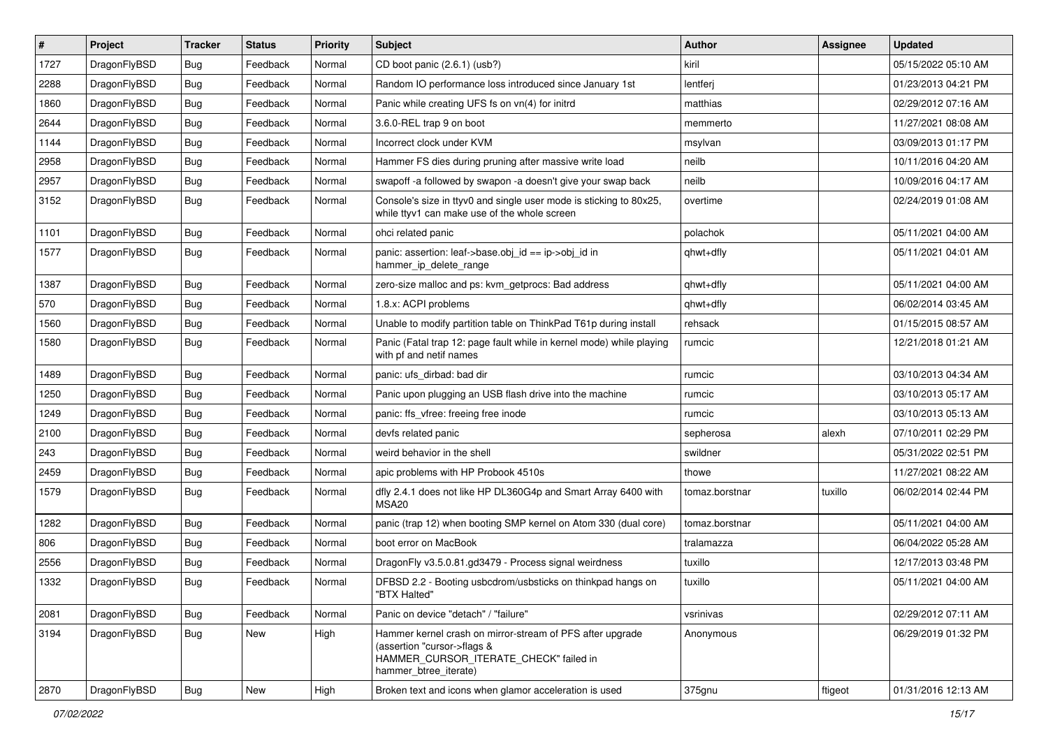| $\sharp$ | Project      | <b>Tracker</b> | <b>Status</b> | <b>Priority</b> | Subject                                                                                                                                                     | <b>Author</b>  | Assignee | <b>Updated</b>      |
|----------|--------------|----------------|---------------|-----------------|-------------------------------------------------------------------------------------------------------------------------------------------------------------|----------------|----------|---------------------|
| 1727     | DragonFlyBSD | <b>Bug</b>     | Feedback      | Normal          | CD boot panic (2.6.1) (usb?)                                                                                                                                | kiril          |          | 05/15/2022 05:10 AM |
| 2288     | DragonFlyBSD | <b>Bug</b>     | Feedback      | Normal          | Random IO performance loss introduced since January 1st                                                                                                     | lentferj       |          | 01/23/2013 04:21 PM |
| 1860     | DragonFlyBSD | <b>Bug</b>     | Feedback      | Normal          | Panic while creating UFS fs on vn(4) for initrd                                                                                                             | matthias       |          | 02/29/2012 07:16 AM |
| 2644     | DragonFlyBSD | <b>Bug</b>     | Feedback      | Normal          | 3.6.0-REL trap 9 on boot                                                                                                                                    | memmerto       |          | 11/27/2021 08:08 AM |
| 1144     | DragonFlyBSD | <b>Bug</b>     | Feedback      | Normal          | Incorrect clock under KVM                                                                                                                                   | msylvan        |          | 03/09/2013 01:17 PM |
| 2958     | DragonFlyBSD | <b>Bug</b>     | Feedback      | Normal          | Hammer FS dies during pruning after massive write load                                                                                                      | neilb          |          | 10/11/2016 04:20 AM |
| 2957     | DragonFlyBSD | <b>Bug</b>     | Feedback      | Normal          | swapoff -a followed by swapon -a doesn't give your swap back                                                                                                | neilb          |          | 10/09/2016 04:17 AM |
| 3152     | DragonFlyBSD | <b>Bug</b>     | Feedback      | Normal          | Console's size in ttyv0 and single user mode is sticking to 80x25,<br>while ttyv1 can make use of the whole screen                                          | overtime       |          | 02/24/2019 01:08 AM |
| 1101     | DragonFlyBSD | <b>Bug</b>     | Feedback      | Normal          | ohci related panic                                                                                                                                          | polachok       |          | 05/11/2021 04:00 AM |
| 1577     | DragonFlyBSD | <b>Bug</b>     | Feedback      | Normal          | panic: assertion: leaf->base.obj_id == ip->obj_id in<br>hammer_ip_delete_range                                                                              | qhwt+dfly      |          | 05/11/2021 04:01 AM |
| 1387     | DragonFlyBSD | Bug            | Feedback      | Normal          | zero-size malloc and ps: kvm_getprocs: Bad address                                                                                                          | qhwt+dfly      |          | 05/11/2021 04:00 AM |
| 570      | DragonFlyBSD | Bug            | Feedback      | Normal          | 1.8.x: ACPI problems                                                                                                                                        | qhwt+dfly      |          | 06/02/2014 03:45 AM |
| 1560     | DragonFlyBSD | Bug            | Feedback      | Normal          | Unable to modify partition table on ThinkPad T61p during install                                                                                            | rehsack        |          | 01/15/2015 08:57 AM |
| 1580     | DragonFlyBSD | Bug            | Feedback      | Normal          | Panic (Fatal trap 12: page fault while in kernel mode) while playing<br>with pf and netif names                                                             | rumcic         |          | 12/21/2018 01:21 AM |
| 1489     | DragonFlyBSD | Bug            | Feedback      | Normal          | panic: ufs_dirbad: bad dir                                                                                                                                  | rumcic         |          | 03/10/2013 04:34 AM |
| 1250     | DragonFlyBSD | Bug            | Feedback      | Normal          | Panic upon plugging an USB flash drive into the machine                                                                                                     | rumcic         |          | 03/10/2013 05:17 AM |
| 1249     | DragonFlyBSD | Bug            | Feedback      | Normal          | panic: ffs vfree: freeing free inode                                                                                                                        | rumcic         |          | 03/10/2013 05:13 AM |
| 2100     | DragonFlyBSD | Bug            | Feedback      | Normal          | devfs related panic                                                                                                                                         | sepherosa      | alexh    | 07/10/2011 02:29 PM |
| 243      | DragonFlyBSD | Bug            | Feedback      | Normal          | weird behavior in the shell                                                                                                                                 | swildner       |          | 05/31/2022 02:51 PM |
| 2459     | DragonFlyBSD | Bug            | Feedback      | Normal          | apic problems with HP Probook 4510s                                                                                                                         | thowe          |          | 11/27/2021 08:22 AM |
| 1579     | DragonFlyBSD | Bug            | Feedback      | Normal          | dfly 2.4.1 does not like HP DL360G4p and Smart Array 6400 with<br>MSA20                                                                                     | tomaz.borstnar | tuxillo  | 06/02/2014 02:44 PM |
| 1282     | DragonFlyBSD | Bug            | Feedback      | Normal          | panic (trap 12) when booting SMP kernel on Atom 330 (dual core)                                                                                             | tomaz.borstnar |          | 05/11/2021 04:00 AM |
| 806      | DragonFlyBSD | Bug            | Feedback      | Normal          | boot error on MacBook                                                                                                                                       | tralamazza     |          | 06/04/2022 05:28 AM |
| 2556     | DragonFlyBSD | Bug            | Feedback      | Normal          | DragonFly v3.5.0.81.gd3479 - Process signal weirdness                                                                                                       | tuxillo        |          | 12/17/2013 03:48 PM |
| 1332     | DragonFlyBSD | Bug            | Feedback      | Normal          | DFBSD 2.2 - Booting usbcdrom/usbsticks on thinkpad hangs on<br>'B I X Halted'                                                                               | tuxillo        |          | 05/11/2021 04:00 AM |
| 2081     | DragonFlyBSD | <b>Bug</b>     | Feedback      | Normal          | Panic on device "detach" / "failure"                                                                                                                        | vsrinivas      |          | 02/29/2012 07:11 AM |
| 3194     | DragonFlyBSD | <b>Bug</b>     | <b>New</b>    | High            | Hammer kernel crash on mirror-stream of PFS after upgrade<br>(assertion "cursor->flags &<br>HAMMER_CURSOR_ITERATE_CHECK" failed in<br>hammer_btree_iterate) | Anonymous      |          | 06/29/2019 01:32 PM |
| 2870     | DragonFlyBSD | <b>Bug</b>     | New           | High            | Broken text and icons when glamor acceleration is used                                                                                                      | 375gnu         | ftigeot  | 01/31/2016 12:13 AM |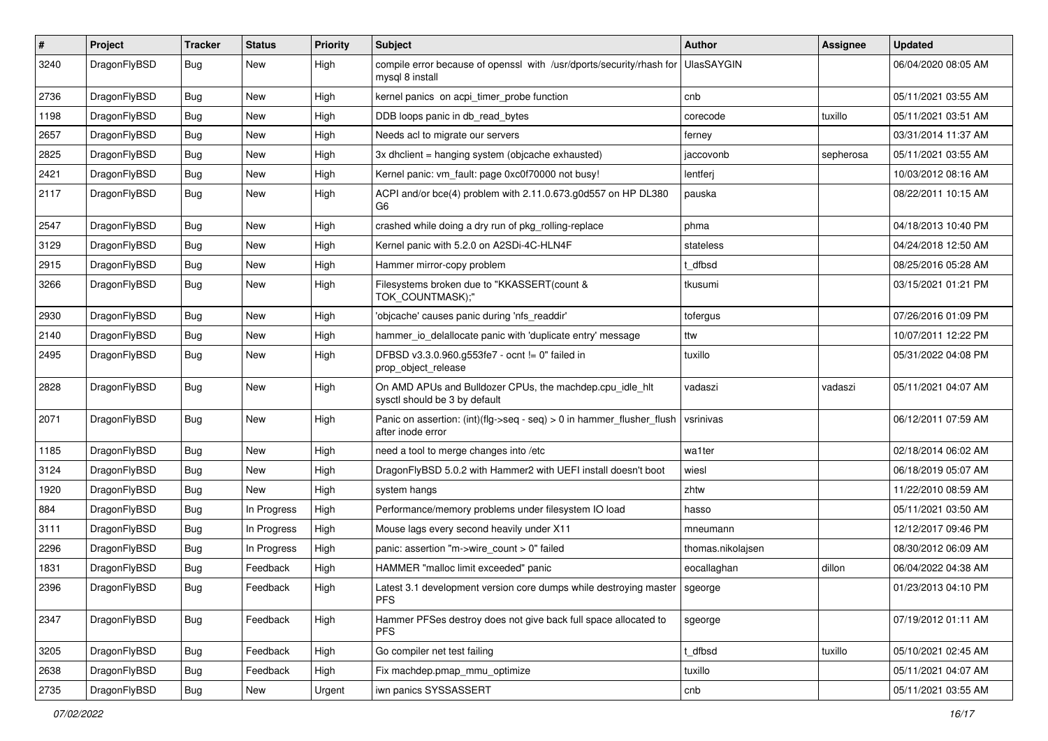| #    | Project      | <b>Tracker</b> | <b>Status</b> | <b>Priority</b> | Subject                                                                                       | Author            | Assignee  | <b>Updated</b>      |
|------|--------------|----------------|---------------|-----------------|-----------------------------------------------------------------------------------------------|-------------------|-----------|---------------------|
| 3240 | DragonFlyBSD | Bug            | New           | High            | compile error because of openssl with /usr/dports/security/rhash for<br>mysql 8 install       | <b>UlasSAYGIN</b> |           | 06/04/2020 08:05 AM |
| 2736 | DragonFlyBSD | <b>Bug</b>     | <b>New</b>    | High            | kernel panics on acpi timer probe function                                                    | cnb               |           | 05/11/2021 03:55 AM |
| 1198 | DragonFlyBSD | Bug            | <b>New</b>    | High            | DDB loops panic in db read bytes                                                              | corecode          | tuxillo   | 05/11/2021 03:51 AM |
| 2657 | DragonFlyBSD | <b>Bug</b>     | <b>New</b>    | High            | Needs acl to migrate our servers                                                              | ferney            |           | 03/31/2014 11:37 AM |
| 2825 | DragonFlyBSD | <b>Bug</b>     | New           | High            | 3x dhclient = hanging system (objcache exhausted)                                             | jaccovonb         | sepherosa | 05/11/2021 03:55 AM |
| 2421 | DragonFlyBSD | Bug            | <b>New</b>    | High            | Kernel panic: vm_fault: page 0xc0f70000 not busy!                                             | lentferj          |           | 10/03/2012 08:16 AM |
| 2117 | DragonFlyBSD | <b>Bug</b>     | New           | High            | ACPI and/or bce(4) problem with 2.11.0.673.g0d557 on HP DL380<br>G6                           | pauska            |           | 08/22/2011 10:15 AM |
| 2547 | DragonFlyBSD | <b>Bug</b>     | <b>New</b>    | High            | crashed while doing a dry run of pkg_rolling-replace                                          | phma              |           | 04/18/2013 10:40 PM |
| 3129 | DragonFlyBSD | <b>Bug</b>     | <b>New</b>    | High            | Kernel panic with 5.2.0 on A2SDi-4C-HLN4F                                                     | stateless         |           | 04/24/2018 12:50 AM |
| 2915 | DragonFlyBSD | Bug            | <b>New</b>    | High            | Hammer mirror-copy problem                                                                    | t dfbsd           |           | 08/25/2016 05:28 AM |
| 3266 | DragonFlyBSD | Bug            | <b>New</b>    | High            | Filesystems broken due to "KKASSERT(count &<br>TOK_COUNTMASK);"                               | tkusumi           |           | 03/15/2021 01:21 PM |
| 2930 | DragonFlyBSD | Bug            | <b>New</b>    | High            | 'objcache' causes panic during 'nfs_readdir'                                                  | tofergus          |           | 07/26/2016 01:09 PM |
| 2140 | DragonFlyBSD | <b>Bug</b>     | <b>New</b>    | High            | hammer io delallocate panic with 'duplicate entry' message                                    | ttw               |           | 10/07/2011 12:22 PM |
| 2495 | DragonFlyBSD | Bug            | <b>New</b>    | High            | DFBSD v3.3.0.960.g553fe7 - ocnt != 0" failed in<br>prop_object_release                        | tuxillo           |           | 05/31/2022 04:08 PM |
| 2828 | DragonFlyBSD | <b>Bug</b>     | <b>New</b>    | High            | On AMD APUs and Bulldozer CPUs, the machdep.cpu_idle_hlt<br>sysctl should be 3 by default     | vadaszi           | vadaszi   | 05/11/2021 04:07 AM |
| 2071 | DragonFlyBSD | Bug            | <b>New</b>    | High            | Panic on assertion: $(int)(flag->seq - seq) > 0$ in hammer flusher flush<br>after inode error | vsrinivas         |           | 06/12/2011 07:59 AM |
| 1185 | DragonFlyBSD | Bug            | <b>New</b>    | High            | need a tool to merge changes into /etc                                                        | wa1ter            |           | 02/18/2014 06:02 AM |
| 3124 | DragonFlyBSD | <b>Bug</b>     | <b>New</b>    | High            | DragonFlyBSD 5.0.2 with Hammer2 with UEFI install doesn't boot                                | wiesl             |           | 06/18/2019 05:07 AM |
| 1920 | DragonFlyBSD | Bug            | New           | High            | system hangs                                                                                  | zhtw              |           | 11/22/2010 08:59 AM |
| 884  | DragonFlyBSD | <b>Bug</b>     | In Progress   | High            | Performance/memory problems under filesystem IO load                                          | hasso             |           | 05/11/2021 03:50 AM |
| 3111 | DragonFlyBSD | <b>Bug</b>     | In Progress   | High            | Mouse lags every second heavily under X11                                                     | mneumann          |           | 12/12/2017 09:46 PM |
| 2296 | DragonFlyBSD | <b>Bug</b>     | In Progress   | High            | panic: assertion "m->wire count > 0" failed                                                   | thomas.nikolajsen |           | 08/30/2012 06:09 AM |
| 1831 | DragonFlyBSD | <b>Bug</b>     | Feedback      | High            | HAMMER "malloc limit exceeded" panic                                                          | eocallaghan       | dillon    | 06/04/2022 04:38 AM |
| 2396 | DragonFlyBSD | Bug            | Feedback      | High            | Latest 3.1 development version core dumps while destroying master<br><b>PFS</b>               | sgeorge           |           | 01/23/2013 04:10 PM |
| 2347 | DragonFlyBSD | Bug            | Feedback      | High            | Hammer PFSes destroy does not give back full space allocated to<br><b>PFS</b>                 | sgeorge           |           | 07/19/2012 01:11 AM |
| 3205 | DragonFlyBSD | <b>Bug</b>     | Feedback      | High            | Go compiler net test failing                                                                  | t_dfbsd           | tuxillo   | 05/10/2021 02:45 AM |
| 2638 | DragonFlyBSD | <b>Bug</b>     | Feedback      | High            | Fix machdep.pmap_mmu_optimize                                                                 | tuxillo           |           | 05/11/2021 04:07 AM |
| 2735 | DragonFlyBSD | Bug            | New           | Urgent          | iwn panics SYSSASSERT                                                                         | cnb               |           | 05/11/2021 03:55 AM |